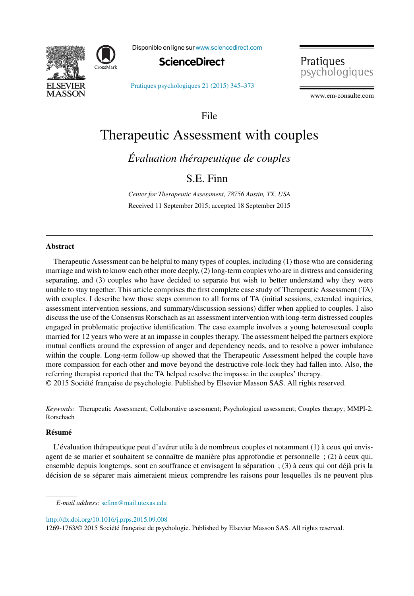



Disponible en ligne sur [www.sciencedirect.com](http://www.sciencedirect.com/science/journal/12691763)



Pratiques psychologiques

Pratiques [psychologiques](dx.doi.org/10.1016/j.prps.2015.09.008) 21 (2015) 345–373

www.em-consulte.com

File

# Therapeutic Assessment with couples

*Évaluation thérapeutique de couples*

# S.E. Finn

*Center for Therapeutic Assessment, 78756 Austin, TX, USA* Received 11 September 2015; accepted 18 September 2015

### **Abstract**

Therapeutic Assessment can be helpful to many types of couples, including (1) those who are considering marriage and wish to know each other more deeply, (2) long-term couples who are in distress and considering separating, and (3) couples who have decided to separate but wish to better understand why they were unable to stay together. This article comprises the first complete case study of Therapeutic Assessment (TA) with couples. I describe how those steps common to all forms of TA (initial sessions, extended inquiries, assessment intervention sessions, and summary/discussion sessions) differ when applied to couples. I also discuss the use of the Consensus Rorschach as an assessment intervention with long-term distressed couples engaged in problematic projective identification. The case example involves a young heterosexual couple married for 12 years who were at an impasse in couples therapy. The assessment helped the partners explore mutual conflicts around the expression of anger and dependency needs, and to resolve a power imbalance within the couple. Long-term follow-up showed that the Therapeutic Assessment helped the couple have more compassion for each other and move beyond the destructive role-lock they had fallen into. Also, the referring therapist reported that the TA helped resolve the impasse in the couples' therapy. © 2015 Société française de psychologie. Published by Elsevier Masson SAS. All rights reserved.

*Keywords:* Therapeutic Assessment; Collaborative assessment; Psychological assessment; Couples therapy; MMPI-2; Rorschach

### **Résumé**

L'évaluation thérapeutique peut d'avérer utile à de nombreux couples et notamment (1) à ceux qui envisagent de se marier et souhaitent se connaître de manière plus approfondie et personnelle ; (2) à ceux qui, ensemble depuis longtemps, sont en souffrance et envisagent la séparation ; (3) à ceux qui ont déjà pris la décision de se séparer mais aimeraient mieux comprendre les raisons pour lesquelles ils ne peuvent plus

[http://dx.doi.org/10.1016/j.prps.2015.09.008](dx.doi.org/10.1016/j.prps.2015.09.008)

1269-1763/© 2015 Société française de psychologie. Published by Elsevier Masson SAS. All rights reserved.

*E-mail address:* [sefinn@mail.utexas.edu](mailto:sefinn@mail.utexas.edu)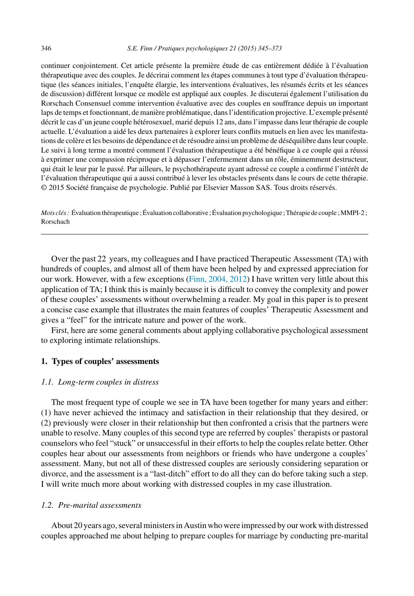### 346 *S.E. Finn / Pratiques psychologiques 21 (2015) 345–373*

continuer conjointement. Cet article présente la première étude de cas entièrement dédiée à l'évaluation thérapeutique avec des couples. Je décrirai comment les étapes communes à tout type d'évaluation thérapeutique (les séances initiales, l'enquête élargie, les interventions évaluatives, les résumés écrits et les séances de discussion) différent lorsque ce modèle est appliqué aux couples. Je discuterai également l'utilisation du Rorschach Consensuel comme intervention évaluative avec des couples en souffrance depuis un important laps de temps et fonctionnant, de manière problématique, dansl'identification projective. L'exemple présenté décrit le cas d'un jeune couple hétérosexuel, marié depuis 12 ans, dansl'impasse dansleur thérapie de couple actuelle. L'évaluation a aidé les deux partenaires à explorer leurs conflits mutuels en lien avec les manifestations de colère et les besoins de dépendance et de résoudre ainsi un problème de déséquilibre dansleur couple. Le suivi à long terme a montré comment l'évaluation thérapeutique a été bénéfique à ce couple qui a réussi à exprimer une compassion réciproque et à dépasser l'enfermement dans un rôle, éminemment destructeur, qui était le leur par le passé. Par ailleurs, le psychothérapeute ayant adressé ce couple a confirmé l'intérêt de l'évaluation thérapeutique qui a aussi contribué à lever les obstacles présents dans le cours de cette thérapie. © 2015 Société française de psychologie. Publié par Elsevier Masson SAS. Tous droits réservés.

*Mots clés:* Évaluation thérapeutique ;Évaluation collaborative ;Évaluation psychologique ;Thérapie de couple ;MMPI-2 ; Rorschach

Over the past 22 years, my colleagues and I have practiced Therapeutic Assessment (TA) with hundreds of couples, and almost all of them have been helped by and expressed appreciation for our work. However, with a few exceptions [\(Finn,](#page-27-0) [2004,](#page-27-0) [2012\)](#page-27-0) I have written very little about this application of TA; I think this is mainly because it is difficult to convey the complexity and power of these couples' assessments without overwhelming a reader. My goal in this paper is to present a concise case example that illustrates the main features of couples' Therapeutic Assessment and gives a "feel" for the intricate nature and power of the work.

First, here are some general comments about applying collaborative psychological assessment to exploring intimate relationships.

# **1. Types of couples' assessments**

### *1.1. Long-term couples in distress*

The most frequent type of couple we see in TA have been together for many years and either: (1) have never achieved the intimacy and satisfaction in their relationship that they desired, or (2) previously were closer in their relationship but then confronted a crisis that the partners were unable to resolve. Many couples of this second type are referred by couples' therapists or pastoral counselors who feel "stuck" or unsuccessful in their efforts to help the couples relate better. Other couples hear about our assessments from neighbors or friends who have undergone a couples' assessment. Many, but not all of these distressed couples are seriously considering separation or divorce, and the assessment is a "last-ditch" effort to do all they can do before taking such a step. I will write much more about working with distressed couples in my case illustration.

# *1.2. Pre-marital assessments*

About 20 years ago, several ministers in Austin who were impressed by our work with distressed couples approached me about helping to prepare couples for marriage by conducting pre-marital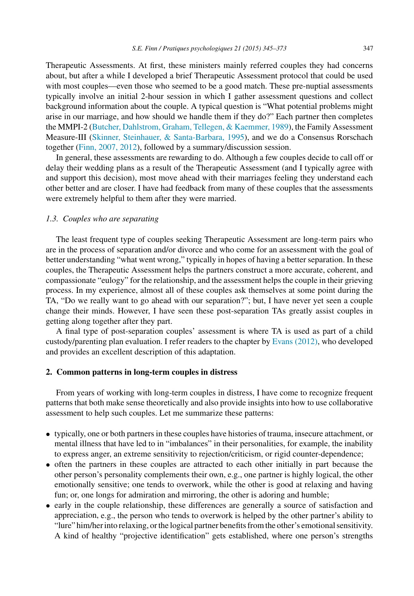Therapeutic Assessments. At first, these ministers mainly referred couples they had concerns about, but after a while I developed a brief Therapeutic Assessment protocol that could be used with most couples—even those who seemed to be a good match. These pre-nuptial assessments typically involve an initial 2-hour session in which I gather assessment questions and collect background information about the couple. A typical question is "What potential problems might arise in our marriage, and how should we handle them if they do?" Each partner then completes the MMPI-2 [\(Butcher,](#page-27-0) [Dahlstrom,](#page-27-0) [Graham,](#page-27-0) [Tellegen,](#page-27-0) [&](#page-27-0) [Kaemmer,](#page-27-0) [1989\),](#page-27-0) the Family Assessment Measure-III [\(Skinner,](#page-28-0) [Steinhauer,](#page-28-0) [&](#page-28-0) [Santa-Barbara,](#page-28-0) [1995\),](#page-28-0) and we do a Consensus Rorschach together ([Finn,](#page-27-0) [2007,](#page-27-0) [2012\),](#page-27-0) followed by a summary/discussion session.

In general, these assessments are rewarding to do. Although a few couples decide to call off or delay their wedding plans as a result of the Therapeutic Assessment (and I typically agree with and support this decision), most move ahead with their marriages feeling they understand each other better and are closer. I have had feedback from many of these couples that the assessments were extremely helpful to them after they were married.

### *1.3. Couples who are separating*

The least frequent type of couples seeking Therapeutic Assessment are long-term pairs who are in the process of separation and/or divorce and who come for an assessment with the goal of better understanding "what went wrong," typically in hopes of having a better separation. In these couples, the Therapeutic Assessment helps the partners construct a more accurate, coherent, and compassionate "eulogy" for the relationship, and the assessment helps the couple in their grieving process. In my experience, almost all of these couples ask themselves at some point during the TA, "Do we really want to go ahead with our separation?"; but, I have never yet seen a couple change their minds. However, I have seen these post-separation TAs greatly assist couples in getting along together after they part.

A final type of post-separation couples' assessment is where TA is used as part of a child custody/parenting plan evaluation. I refer readers to the chapter by [Evans](#page-27-0) [\(2012\),](#page-27-0) who developed and provides an excellent description of this adaptation.

# **2. Common patterns in long-term couples in distress**

From years of working with long-term couples in distress, I have come to recognize frequent patterns that both make sense theoretically and also provide insights into how to use collaborative assessment to help such couples. Let me summarize these patterns:

- typically, one or both partners in these couples have histories of trauma, insecure attachment, or mental illness that have led to in "imbalances" in their personalities, for example, the inability to express anger, an extreme sensitivity to rejection/criticism, or rigid counter-dependence;
- often the partners in these couples are attracted to each other initially in part because the other person's personality complements their own, e.g., one partner is highly logical, the other emotionally sensitive; one tends to overwork, while the other is good at relaxing and having fun; or, one longs for admiration and mirroring, the other is adoring and humble;
- early in the couple relationship, these differences are generally a source of satisfaction and appreciation, e.g., the person who tends to overwork is helped by the other partner's ability to "lure" him/herinto relaxing, orthe logical partner benefitsfromthe other's emotionalsensitivity. A kind of healthy "projective identification" gets established, where one person's strengths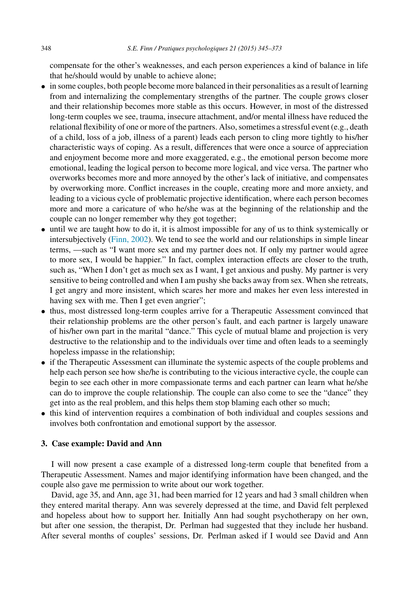compensate for the other's weaknesses, and each person experiences a kind of balance in life that he/should would by unable to achieve alone;

- in some couples, both people become more balanced in their personalities as a result of learning from and internalizing the complementary strengths of the partner. The couple grows closer and their relationship becomes more stable as this occurs. However, in most of the distressed long-term couples we see, trauma, insecure attachment, and/or mental illness have reduced the relational flexibility of one or more of the partners. Also, sometimes a stressful event (e.g., death of a child, loss of a job, illness of a parent) leads each person to cling more tightly to his/her characteristic ways of coping. As a result, differences that were once a source of appreciation and enjoyment become more and more exaggerated, e.g., the emotional person become more emotional, leading the logical person to become more logical, and vice versa. The partner who overworks becomes more and more annoyed by the other's lack of initiative, and compensates by overworking more. Conflict increases in the couple, creating more and more anxiety, and leading to a vicious cycle of problematic projective identification, where each person becomes more and more a caricature of who he/she was at the beginning of the relationship and the couple can no longer remember why they got together;
- until we are taught how to do it, it is almost impossible for any of us to think systemically or intersubjectively ([Finn,](#page-27-0) [2002\).](#page-27-0) We tend to see the world and our relationships in simple linear terms, —such as "I want more sex and my partner does not. If only my partner would agree to more sex, I would be happier." In fact, complex interaction effects are closer to the truth, such as, "When I don't get as much sex as I want, I get anxious and pushy. My partner is very sensitive to being controlled and when I am pushy she backs away from sex. When she retreats, I get angry and more insistent, which scares her more and makes her even less interested in having sex with me. Then I get even angrier";
- thus, most distressed long-term couples arrive for a Therapeutic Assessment convinced that their relationship problems are the other person's fault, and each partner is largely unaware of his/her own part in the marital "dance." This cycle of mutual blame and projection is very destructive to the relationship and to the individuals over time and often leads to a seemingly hopeless impasse in the relationship;
- if the Therapeutic Assessment can illuminate the systemic aspects of the couple problems and help each person see how she/he is contributing to the vicious interactive cycle, the couple can begin to see each other in more compassionate terms and each partner can learn what he/she can do to improve the couple relationship. The couple can also come to see the "dance" they get into as the real problem, and this helps them stop blaming each other so much;
- this kind of intervention requires a combination of both individual and couples sessions and involves both confrontation and emotional support by the assessor.

# **3. Case example: David and Ann**

I will now present a case example of a distressed long-term couple that benefited from a Therapeutic Assessment. Names and major identifying information have been changed, and the couple also gave me permission to write about our work together.

David, age 35, and Ann, age 31, had been married for 12 years and had 3 small children when they entered marital therapy. Ann was severely depressed at the time, and David felt perplexed and hopeless about how to support her. Initially Ann had sought psychotherapy on her own, but after one session, the therapist, Dr. Perlman had suggested that they include her husband. After several months of couples' sessions, Dr. Perlman asked if I would see David and Ann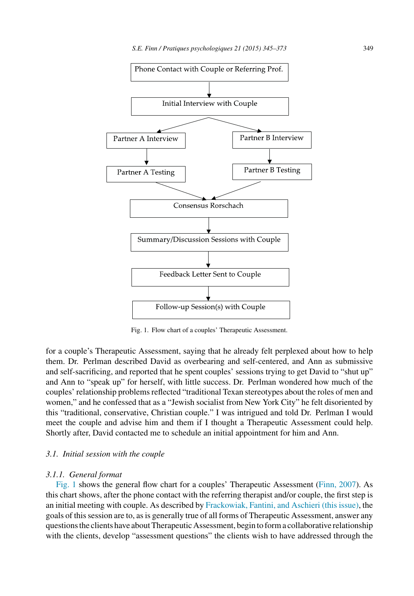<span id="page-4-0"></span>

Fig. 1. Flow chart of a couples' Therapeutic Assessment.

for a couple's Therapeutic Assessment, saying that he already felt perplexed about how to help them. Dr. Perlman described David as overbearing and self-centered, and Ann as submissive and self-sacrificing, and reported that he spent couples' sessions trying to get David to "shut up" and Ann to "speak up" for herself, with little success. Dr. Perlman wondered how much of the couples' relationship problems reflected "traditional Texan stereotypes about the roles of men and women," and he confessed that as a "Jewish socialist from New York City" he felt disoriented by this "traditional, conservative, Christian couple." I was intrigued and told Dr. Perlman I would meet the couple and advise him and them if I thought a Therapeutic Assessment could help. Shortly after, David contacted me to schedule an initial appointment for him and Ann.

### *3.1. Initial session with the couple*

### *3.1.1. General format*

Fig. 1 shows the general flow chart for a couples' Therapeutic Assessment [\(Finn,](#page-27-0) [2007\).](#page-27-0) As this chart shows, after the phone contact with the referring therapist and/or couple, the first step is an initial meeting with couple. As described by [Frackowiak,](#page-27-0) [Fantini,](#page-27-0) [and](#page-27-0) [Aschieri](#page-27-0) [\(this](#page-27-0) [issue\),](#page-27-0) the goals of thissession are to, asis generally true of all forms of Therapeutic Assessment, answer any questions the clients have about Therapeutic Assessment, begin to form a collaborative relationship with the clients, develop "assessment questions" the clients wish to have addressed through the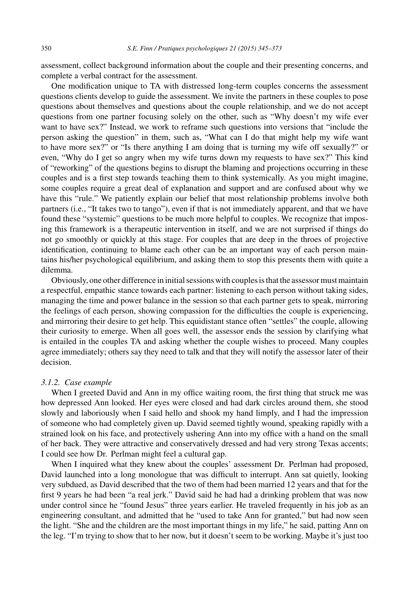assessment, collect background information about the couple and their presenting concerns, and complete a verbal contract for the assessment.

One modification unique to TA with distressed long-term couples concerns the assessment questions clients develop to guide the assessment. We invite the partners in these couples to pose questions about themselves and questions about the couple relationship, and we do not accept questions from one partner focusing solely on the other, such as "Why doesn't my wife ever want to have sex?" Instead, we work to reframe such questions into versions that "include the person asking the question" in them, such as, "What can I do that might help my wife want to have more sex?" or "Is there anything I am doing that is turning my wife off sexually?" or even, "Why do I get so angry when my wife turns down my requests to have sex?" This kind of "reworking" of the questions begins to disrupt the blaming and projections occurring in these couples and is a first step towards teaching them to think systemically. As you might imagine, some couples require a great deal of explanation and support and are confused about why we have this "rule." We patiently explain our belief that most relationship problems involve both partners (i.e., "It takes two to tango"), even if that is not immediately apparent, and that we have found these "systemic" questions to be much more helpful to couples. We recognize that imposing this framework is a therapeutic intervention in itself, and we are not surprised if things do not go smoothly or quickly at this stage. For couples that are deep in the throes of projective identification, continuing to blame each other can be an important way of each person maintains his/her psychological equilibrium, and asking them to stop this presents them with quite a dilemma.

Obviously, one other difference in initial sessions with couples is that the assessor must maintain a respectful, empathic stance towards each partner: listening to each person without taking sides, managing the time and power balance in the session so that each partner gets to speak, mirroring the feelings of each person, showing compassion for the difficulties the couple is experiencing, and mirroring their desire to get help. This equidistant stance often "settles" the couple, allowing their curiosity to emerge. When all goes well, the assessor ends the session by clarifying what is entailed in the couples TA and asking whether the couple wishes to proceed. Many couples agree immediately; others say they need to talk and that they will notify the assessor later of their decision.

# *3.1.2. Case example*

When I greeted David and Ann in my office waiting room, the first thing that struck me was how depressed Ann looked. Her eyes were closed and had dark circles around them, she stood slowly and laboriously when I said hello and shook my hand limply, and I had the impression of someone who had completely given up. David seemed tightly wound, speaking rapidly with a strained look on his face, and protectively ushering Ann into my office with a hand on the small of her back. They were attractive and conservatively dressed and had very strong Texas accents; I could see how Dr. Perlman might feel a cultural gap.

When I inquired what they knew about the couples' assessment Dr. Perlman had proposed, David launched into a long monologue that was difficult to interrupt. Ann sat quietly, looking very subdued, as David described that the two of them had been married 12 years and that for the first 9 years he had been "a real jerk." David said he had had a drinking problem that was now under control since he "found Jesus" three years earlier. He traveled frequently in his job as an engineering consultant, and admitted that he "used to take Ann for granted," but had now seen the light. "She and the children are the most important things in my life," he said, patting Ann on the leg. "I'm trying to show that to her now, but it doesn't seem to be working. Maybe it's just too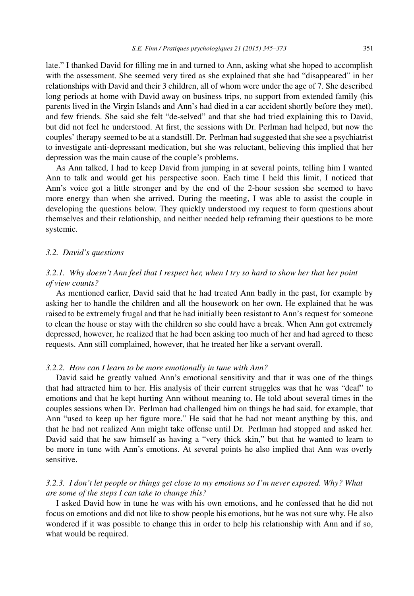late." I thanked David for filling me in and turned to Ann, asking what she hoped to accomplish with the assessment. She seemed very tired as she explained that she had "disappeared" in her relationships with David and their 3 children, all of whom were under the age of 7. She described long periods at home with David away on business trips, no support from extended family (his parents lived in the Virgin Islands and Ann's had died in a car accident shortly before they met), and few friends. She said she felt "de-selved" and that she had tried explaining this to David, but did not feel he understood. At first, the sessions with Dr. Perlman had helped, but now the couples' therapy seemed to be at a standstill. Dr. Perlman had suggested that she see a psychiatrist to investigate anti-depressant medication, but she was reluctant, believing this implied that her depression was the main cause of the couple's problems.

As Ann talked, I had to keep David from jumping in at several points, telling him I wanted Ann to talk and would get his perspective soon. Each time I held this limit, I noticed that Ann's voice got a little stronger and by the end of the 2-hour session she seemed to have more energy than when she arrived. During the meeting, I was able to assist the couple in developing the questions below. They quickly understood my request to form questions about themselves and their relationship, and neither needed help reframing their questions to be more systemic.

# *3.2. David's questions*

# 3.2.1. Why doesn't Ann feel that I respect her, when I try so hard to show her that her point *of view counts?*

As mentioned earlier, David said that he had treated Ann badly in the past, for example by asking her to handle the children and all the housework on her own. He explained that he was raised to be extremely frugal and that he had initially been resistant to Ann's request for someone to clean the house or stay with the children so she could have a break. When Ann got extremely depressed, however, he realized that he had been asking too much of her and had agreed to these requests. Ann still complained, however, that he treated her like a servant overall.

#### *3.2.2. How can I learn to be more emotionally in tune with Ann?*

David said he greatly valued Ann's emotional sensitivity and that it was one of the things that had attracted him to her. His analysis of their current struggles was that he was "deaf" to emotions and that he kept hurting Ann without meaning to. He told about several times in the couples sessions when Dr. Perlman had challenged him on things he had said, for example, that Ann "used to keep up her figure more." He said that he had not meant anything by this, and that he had not realized Ann might take offense until Dr. Perlman had stopped and asked her. David said that he saw himself as having a "very thick skin," but that he wanted to learn to be more in tune with Ann's emotions. At several points he also implied that Ann was overly sensitive.

# *3.2.3. I don't let people or things get close to my emotions so I'm never exposed. Why? What are some of the steps I can take to change this?*

I asked David how in tune he was with his own emotions, and he confessed that he did not focus on emotions and did not like to show people his emotions, but he was not sure why. He also wondered if it was possible to change this in order to help his relationship with Ann and if so, what would be required.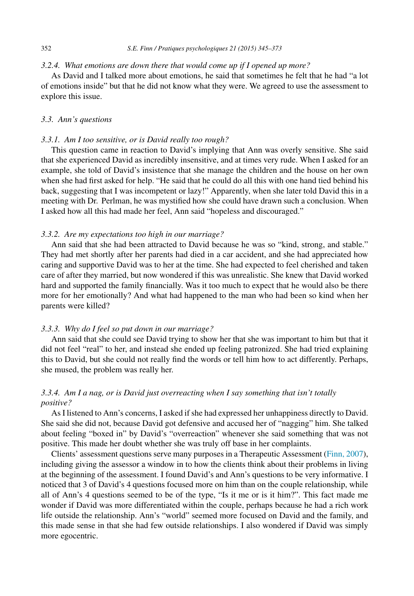# *3.2.4. What emotions are down there that would come up if I opened up more?*

As David and I talked more about emotions, he said that sometimes he felt that he had "a lot of emotions inside" but that he did not know what they were. We agreed to use the assessment to explore this issue.

### *3.3. Ann's questions*

# *3.3.1. Am I too sensitive, or is David really too rough?*

This question came in reaction to David's implying that Ann was overly sensitive. She said that she experienced David as incredibly insensitive, and at times very rude. When I asked for an example, she told of David's insistence that she manage the children and the house on her own when she had first asked for help. "He said that he could do all this with one hand tied behind his back, suggesting that I was incompetent or lazy!" Apparently, when she later told David this in a meeting with Dr. Perlman, he was mystified how she could have drawn such a conclusion. When I asked how all this had made her feel, Ann said "hopeless and discouraged."

### *3.3.2. Are my expectations too high in our marriage?*

Ann said that she had been attracted to David because he was so "kind, strong, and stable." They had met shortly after her parents had died in a car accident, and she had appreciated how caring and supportive David was to her at the time. She had expected to feel cherished and taken care of after they married, but now wondered if this was unrealistic. She knew that David worked hard and supported the family financially. Was it too much to expect that he would also be there more for her emotionally? And what had happened to the man who had been so kind when her parents were killed?

### *3.3.3. Why do I feel so put down in our marriage?*

Ann said that she could see David trying to show her that she was important to him but that it did not feel "real" to her, and instead she ended up feeling patronized. She had tried explaining this to David, but she could not really find the words or tell him how to act differently. Perhaps, she mused, the problem was really her.

# *3.3.4. Am I a nag, or is David just overreacting when I say something that isn't totally positive?*

As I listened to Ann's concerns, I asked if she had expressed her unhappiness directly to David. She said she did not, because David got defensive and accused her of "nagging" him. She talked about feeling "boxed in" by David's "overreaction" whenever she said something that was not positive. This made her doubt whether she was truly off base in her complaints.

Clients' assessment questions serve many purposes in a Therapeutic Assessment ([Finn,](#page-27-0) [2007\),](#page-27-0) including giving the assessor a window in to how the clients think about their problems in living at the beginning of the assessment. I found David's and Ann's questions to be very informative. I noticed that 3 of David's 4 questions focused more on him than on the couple relationship, while all of Ann's 4 questions seemed to be of the type, "Is it me or is it him?". This fact made me wonder if David was more differentiated within the couple, perhaps because he had a rich work life outside the relationship. Ann's "world" seemed more focused on David and the family, and this made sense in that she had few outside relationships. I also wondered if David was simply more egocentric.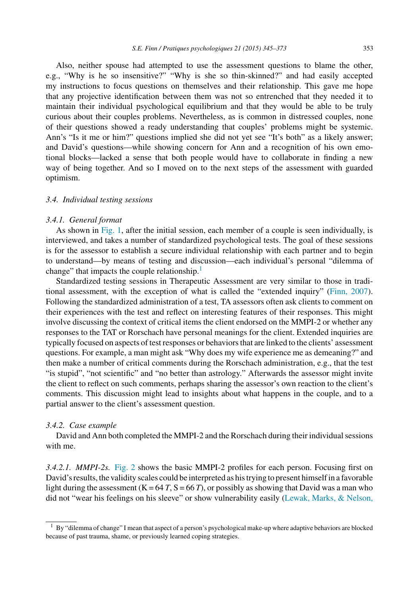Also, neither spouse had attempted to use the assessment questions to blame the other, e.g., "Why is he so insensitive?" "Why is she so thin-skinned?" and had easily accepted my instructions to focus questions on themselves and their relationship. This gave me hope that any projective identification between them was not so entrenched that they needed it to maintain their individual psychological equilibrium and that they would be able to be truly curious about their couples problems. Nevertheless, as is common in distressed couples, none of their questions showed a ready understanding that couples' problems might be systemic. Ann's "Is it me or him?" questions implied she did not yet see "It's both" as a likely answer; and David's questions—while showing concern for Ann and a recognition of his own emotional blocks—lacked a sense that both people would have to collaborate in finding a new way of being together. And so I moved on to the next steps of the assessment with guarded optimism.

# *3.4. Individual testing sessions*

### *3.4.1. General format*

As shown in [Fig.](#page-4-0) 1, after the initial session, each member of a couple is seen individually, is interviewed, and takes a number of standardized psychological tests. The goal of these sessions is for the assessor to establish a secure individual relationship with each partner and to begin to understand—by means of testing and discussion—each individual's personal "dilemma of change" that impacts the couple relationship. $\frac{1}{1}$ 

Standardized testing sessions in Therapeutic Assessment are very similar to those in traditional assessment, with the exception of what is called the "extended inquiry" [\(Finn,](#page-27-0) [2007\).](#page-27-0) Following the standardized administration of a test, TA assessors often ask clients to comment on their experiences with the test and reflect on interesting features of their responses. This might involve discussing the context of critical items the client endorsed on the MMPI-2 or whether any responses to the TAT or Rorschach have personal meanings for the client. Extended inquiries are typically focused on aspects of test responses or behaviors that are linked to the clients' assessment questions. For example, a man might ask "Why does my wife experience me as demeaning?" and then make a number of critical comments during the Rorschach administration, e.g., that the test "is stupid", "not scientific" and "no better than astrology." Afterwards the assessor might invite the client to reflect on such comments, perhaps sharing the assessor's own reaction to the client's comments. This discussion might lead to insights about what happens in the couple, and to a partial answer to the client's assessment question.

#### *3.4.2. Case example*

David and Ann both completed the MMPI-2 and the Rorschach during their individualsessions with me.

*3.4.2.1. MMPI-2s.* [Fig.](#page-9-0) 2 shows the basic MMPI-2 profiles for each person. Focusing first on David's results, the validity scales could be interpreted as his trying to present himself in a favorable light during the assessment ( $K = 64 T$ ,  $S = 66 T$ ), or possibly as showing that David was a man who did not "wear his feelings on his sleeve" or show vulnerability easily ([Lewak,](#page-27-0) [Marks,](#page-27-0) [&](#page-27-0) [Nelson,](#page-27-0)

 $1$  By "dilemma of change" I mean that aspect of a person's psychological make-up where adaptive behaviors are blocked because of past trauma, shame, or previously learned coping strategies.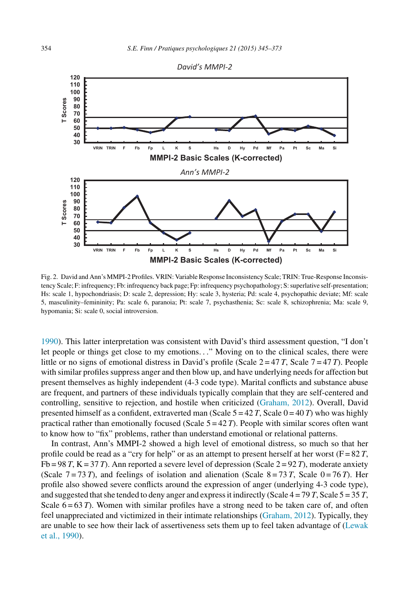<span id="page-9-0"></span>

Fig. 2. David and Ann's MMPI-2 Profiles. VRIN: Variable Response Inconsistency Scale; TRIN: True-Response Inconsistency Scale; F: infrequency; Fb: infrequency back page; Fp: infrequency psychopathology; S: superlative self-presentation; Hs: scale 1, hypochondriasis; D: scale 2, depression; Hy: scale 3, hysteria; Pd: scale 4, psychopathic deviate; Mf: scale 5, masculinity–femininity; Pa: scale 6, paranoia; Pt: scale 7, psychasthenia; Sc: scale 8, schizophrenia; Ma: scale 9, hypomania; Si: scale 0, social introversion.

[1990\).](#page-27-0) This latter interpretation was consistent with David's third assessment question, "I don't let people or things get close to my emotions. . ." Moving on to the clinical scales, there were little or no signs of emotional distress in David's profile (Scale 2 = 47 *T*, Scale 7 = 47 *T*). People with similar profiles suppress anger and then blow up, and have underlying needs for affection but present themselves as highly independent (4-3 code type). Marital conflicts and substance abuse are frequent, and partners of these individuals typically complain that they are self-centered and controlling, sensitive to rejection, and hostile when criticized [\(Graham,](#page-27-0) [2012\).](#page-27-0) Overall, David presented himself as a confident, extraverted man (Scale  $5 = 42 T$ , Scale  $0 = 40 T$ ) who was highly practical rather than emotionally focused (Scale 5 = 42 *T*). People with similar scores often want to know how to "fix" problems, rather than understand emotional or relational patterns.

In contrast, Ann's MMPI-2 showed a high level of emotional distress, so much so that her profile could be read as a "cry for help" or as an attempt to present herself at her worst  $(F = 82 T,$ Fb = 98 *T*, K = 37 *T*). Ann reported a severe level of depression (Scale 2 = 92 *T*), moderate anxiety (Scale  $7 = 73$  *T*), and feelings of isolation and alienation (Scale  $8 = 73$  *T*, Scale  $0 = 76$  *T*). Her profile also showed severe conflicts around the expression of anger (underlying 4-3 code type), and suggested that she tended to deny anger and express it indirectly (Scale  $4 = 79$  T, Scale  $5 = 35$  T, Scale  $6 = 63 T$ ). Women with similar profiles have a strong need to be taken care of, and often feel unappreciated and victimized in their intimate relationships ([Graham,](#page-27-0) [2012\).](#page-27-0) Typically, they are unable to see how their lack of assertiveness sets them up to feel taken advantage of [\(Lewak](#page-27-0) et [al.,](#page-27-0) [1990\).](#page-27-0)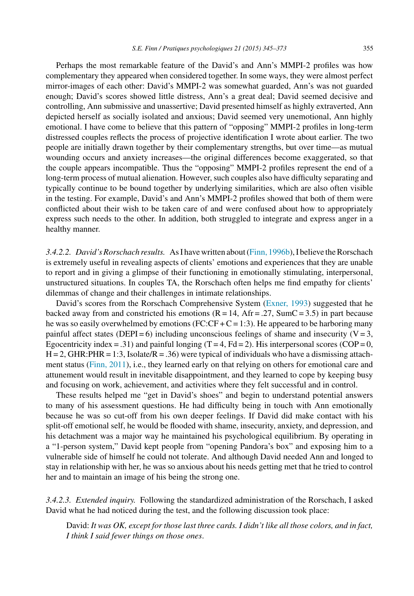Perhaps the most remarkable feature of the David's and Ann's MMPI-2 profiles was how complementary they appeared when considered together. In some ways, they were almost perfect mirror-images of each other: David's MMPI-2 was somewhat guarded, Ann's was not guarded enough; David's scores showed little distress, Ann's a great deal; David seemed decisive and controlling, Ann submissive and unassertive; David presented himself as highly extraverted, Ann depicted herself as socially isolated and anxious; David seemed very unemotional, Ann highly emotional. I have come to believe that this pattern of "opposing" MMPI-2 profiles in long-term distressed couples reflects the process of projective identification I wrote about earlier. The two people are initially drawn together by their complementary strengths, but over time—as mutual wounding occurs and anxiety increases—the original differences become exaggerated, so that the couple appears incompatible. Thus the "opposing" MMPI-2 profiles represent the end of a long-term process of mutual alienation. However, such couples also have difficulty separating and typically continue to be bound together by underlying similarities, which are also often visible in the testing. For example, David's and Ann's MMPI-2 profiles showed that both of them were conflicted about their wish to be taken care of and were confused about how to appropriately express such needs to the other. In addition, both struggled to integrate and express anger in a healthy manner.

*3.4.2.2. David'sRorschach results.* AsI havewritten about[\(Finn,](#page-27-0) [1996b\),](#page-27-0)I believe theRorschach is extremely useful in revealing aspects of clients' emotions and experiences that they are unable to report and in giving a glimpse of their functioning in emotionally stimulating, interpersonal, unstructured situations. In couples TA, the Rorschach often helps me find empathy for clients' dilemmas of change and their challenges in intimate relationships.

David's scores from the Rorschach Comprehensive System ([Exner,](#page-27-0) [1993\)](#page-27-0) suggested that he backed away from and constricted his emotions  $(R = 14, \text{Afr} = .27, \text{SumC} = 3.5)$  in part because he was so easily overwhelmed by emotions ( $FC:CF + C = 1:3$ ). He appeared to be harboring many painful affect states (DEPI = 6) including unconscious feelings of shame and insecurity ( $V = 3$ , Egocentricity index = .31) and painful longing  $(T = 4, Fd = 2)$ . His interpersonal scores (COP = 0,  $H = 2$ , GHR:PHR = 1:3, Isolate/R = .36) were typical of individuals who have a dismissing attachment status ([Finn,](#page-27-0) [2011\),](#page-27-0) i.e., they learned early on that relying on others for emotional care and attunement would result in inevitable disappointment, and they learned to cope by keeping busy and focusing on work, achievement, and activities where they felt successful and in control.

These results helped me "get in David's shoes" and begin to understand potential answers to many of his assessment questions. He had difficulty being in touch with Ann emotionally because he was so cut-off from his own deeper feelings. If David did make contact with his split-off emotional self, he would be flooded with shame, insecurity, anxiety, and depression, and his detachment was a major way he maintained his psychological equilibrium. By operating in a "1-person system," David kept people from "opening Pandora's box" and exposing him to a vulnerable side of himself he could not tolerate. And although David needed Ann and longed to stay in relationship with her, he was so anxious about his needs getting met that he tried to control her and to maintain an image of his being the strong one.

*3.4.2.3. Extended inquiry.* Following the standardized administration of the Rorschach, I asked David what he had noticed during the test, and the following discussion took place:

David: *It was OK, except for those last three cards. I didn't like all those colors, and in fact, I think I said fewer things on those ones*.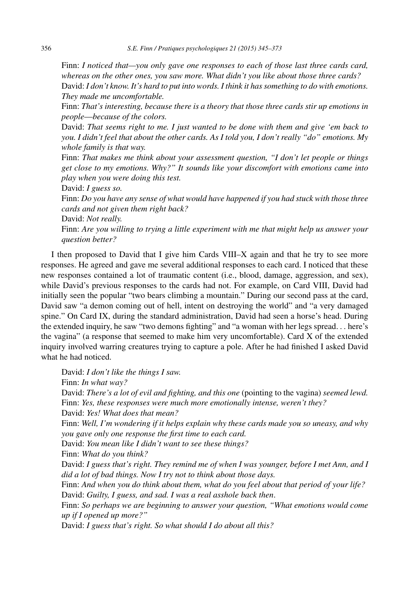Finn: *I noticed that—you only gave one responses to each of those last three cards card, whereas on the other ones, you saw more. What didn't you like about those three cards?* David: *I don't know. It's hard to put into words. I think it hassomething to do with emotions. They made me uncomfortable.*

Finn: *That's interesting, because there is a theory that those three cards stir up emotions in people*—*because of the colors.*

David: *That seems right to me. I just wanted to be done with them and give 'em back to* you. I didn't feel that about the other cards. As I told you, I don't really "do" emotions. My *whole family is that way.*

Finn: *That makes me think about your assessment question, "I don't let people or things get close to my emotions. Why?" It sounds like your discomfort with emotions came into play when you were doing this test.*

David: *I guess so.*

Finn: *Do you have any sense of what would have happened if you had stuck with those three cards and not given them right back?*

David: *Not really.*

Finn: *Are you willing to trying a little experiment with me that might help us answer your question better?*

I then proposed to David that I give him Cards VIII–X again and that he try to see more responses. He agreed and gave me several additional responses to each card. I noticed that these new responses contained a lot of traumatic content (i.e., blood, damage, aggression, and sex), while David's previous responses to the cards had not. For example, on Card VIII, David had initially seen the popular "two bears climbing a mountain." During our second pass at the card, David saw "a demon coming out of hell, intent on destroying the world" and "a very damaged spine." On Card IX, during the standard administration, David had seen a horse's head. During the extended inquiry, he saw "two demons fighting" and "a woman with her legs spread. . . here's the vagina" (a response that seemed to make him very uncomfortable). Card X of the extended inquiry involved warring creatures trying to capture a pole. After he had finished I asked David what he had noticed.

David: *I don't like the things I saw.*

Finn: *In what way?*

David: *There's a lot of evil and fighting, and this one* (pointing to the vagina) *seemed lewd.* Finn: *Yes, these responses were much more emotionally intense, weren't they?*

David: *Yes! What does that mean?*

Finn: *Well, I'm wondering if it helps explain why these cards made you so uneasy, and why you gave only one response the first time to each card.*

David: *You mean like I didn't want to see these things?*

Finn: *What do you think?*

David: *I guess that's right. They remind me of when I was younger, before I met Ann, and I did a lot of bad things. Now I try not to think about those days.*

Finn: *And when you do think about them, what do you feel about that period of your life?* David: *Guilty, I guess, and sad. I was a real asshole back then*.

Finn: *So perhaps we are beginning to answer your question, "What emotions would come up if I opened up more?"*

David: *I guess that's right. So what should I do about all this?*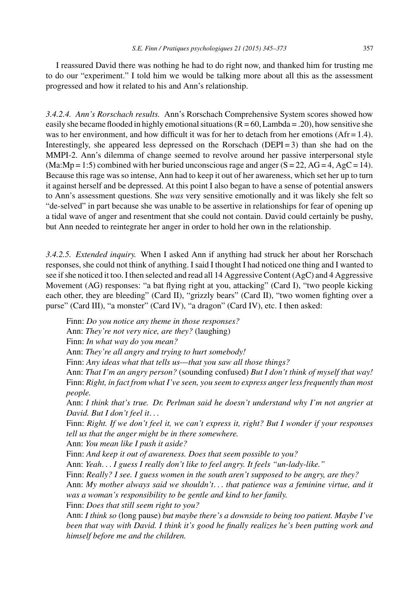I reassured David there was nothing he had to do right now, and thanked him for trusting me to do our "experiment." I told him we would be talking more about all this as the assessment progressed and how it related to his and Ann's relationship.

*3.4.2.4. Ann's Rorschach results.* Ann's Rorschach Comprehensive System scores showed how easily she became flooded in highly emotional situations ( $R = 60$ , Lambda = .20), how sensitive she was to her environment, and how difficult it was for her to detach from her emotions ( $A$ fr = 1.4). Interestingly, she appeared less depressed on the Rorschach ( $DEPI = 3$ ) than she had on the MMPI-2. Ann's dilemma of change seemed to revolve around her passive interpersonal style  $(Ma:Mp = 1:5)$  combined with her buried unconscious rage and anger  $(S = 22, AG = 4, AgC = 14)$ . Because this rage was so intense, Ann had to keep it out of her awareness, which set her up to turn it against herself and be depressed. At this point I also began to have a sense of potential answers to Ann's assessment questions. She *was* very sensitive emotionally and it was likely she felt so "de-selved" in part because she was unable to be assertive in relationships for fear of opening up a tidal wave of anger and resentment that she could not contain. David could certainly be pushy, but Ann needed to reintegrate her anger in order to hold her own in the relationship.

*3.4.2.5. Extended inquiry.* When I asked Ann if anything had struck her about her Rorschach responses, she could not think of anything. I said I thought I had noticed one thing and I wanted to see if she noticed it too. I then selected and read all 14 Aggressive Content (AgC) and 4 Aggressive Movement (AG) responses: "a bat flying right at you, attacking" (Card I), "two people kicking each other, they are bleeding" (Card II), "grizzly bears" (Card II), "two women fighting over a purse" (Card III), "a monster" (Card IV), "a dragon" (Card IV), etc. I then asked:

Finn: *Do you notice any theme in those responses?*

Ann: *They're not very nice, are they?* (laughing)

Finn: *In what way do you mean?*

Ann: *They're all angry and trying to hurt somebody!*

Finn: *Any ideas what that tells us*—*that you saw all those things?*

Ann: *That I'm an angry person?* (sounding confused) *But I don't think of myself that way!* Finn: *Right, in fact from what I've seen, you seem to express anger less frequently than most people.*

Ann: *I think that's true. Dr. Perlman said he doesn't understand why I'm not angrier at David. But I don't feel it*. . .

Finn: *Right. If we don't feel it, we can't express it, right? But I wonder if your responses tell us that the anger might be in there somewhere.*

Ann: *You mean like I push it aside?*

Finn: *And keep it out of awareness. Does that seem possible to you?*

Ann: *Yeah*. . . *I guess I really don't like to feel angry. It feels "un-lady-like."*

Finn: *Really? I see. I guess women in the south aren't supposed to be angry, are they?*

Ann: *My mother always said we shouldn't*. . . *that patience was a feminine virtue, and it was a woman's responsibility to be gentle and kind to her family.*

Finn: *Does that still seem right to you?*

Ann: *I think so* (long pause) *but maybe there's a downside to being too patient. Maybe I've been that way with David. I think it's good he finally realizes he's been putting work and himself before me and the children.*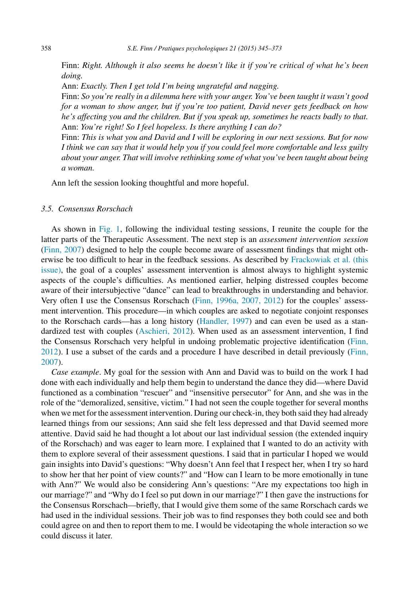Finn: *Right. Although it also seems he doesn't like it if you're critical of what he's been doing.*

Ann: *Exactly. Then I get told I'm being ungrateful and nagging.*

Finn: *So you're really in a dilemma here with your anger. You've been taught it wasn't good for a woman to show anger, but if you're too patient, David never gets feedback on how he's affecting you and the children. But if you speak up, sometimes he reacts badly to that.* Ann: *You're right! So I feel hopeless. Is there anything I can do?*

Finn: *This is what you and David and I will be exploring in our next sessions. But for now* I think we can say that it would help you if you could feel more comfortable and less guilty *about your anger. That will involve rethinking some of what you've been taught about being a woman.*

Ann left the session looking thoughtful and more hopeful.

### *3.5. Consensus Rorschach*

As shown in [Fig.](#page-4-0) 1, following the individual testing sessions, I reunite the couple for the latter parts of the Therapeutic Assessment. The next step is an *assessment intervention session* ([Finn,](#page-27-0) [2007\)](#page-27-0) designed to help the couple become aware of assessment findings that might otherwise be too difficult to hear in the feedback sessions. As described by [Frackowiak](#page-27-0) et [al.](#page-27-0) [\(this](#page-27-0) [issue\),](#page-27-0) the goal of a couples' assessment intervention is almost always to highlight systemic aspects of the couple's difficulties. As mentioned earlier, helping distressed couples become aware of their intersubjective "dance" can lead to breakthroughs in understanding and behavior. Very often I use the Consensus Rorschach ([Finn,](#page-27-0) [1996a,](#page-27-0) [2007,](#page-27-0) [2012\)](#page-27-0) for the couples' assessment intervention. This procedure—in which couples are asked to negotiate conjoint responses to the Rorschach cards—has a long history ([Handler,](#page-27-0) [1997\)](#page-27-0) and can even be used as a standardized test with couples ([Aschieri,](#page-27-0) [2012\).](#page-27-0) When used as an assessment intervention, I find the Consensus Rorschach very helpful in undoing problematic projective identification [\(Finn,](#page-27-0) [2012\).](#page-27-0) I use a subset of the cards and a procedure I have described in detail previously [\(Finn,](#page-27-0) [2007\).](#page-27-0)

*Case example*. My goal for the session with Ann and David was to build on the work I had done with each individually and help them begin to understand the dance they did—where David functioned as a combination "rescuer" and "insensitive persecutor" for Ann, and she was in the role of the "demoralized, sensitive, victim." I had not seen the couple together for several months when we met for the assessment intervention. During our check-in, they both said they had already learned things from our sessions; Ann said she felt less depressed and that David seemed more attentive. David said he had thought a lot about our last individual session (the extended inquiry of the Rorschach) and was eager to learn more. I explained that I wanted to do an activity with them to explore several of their assessment questions. I said that in particular I hoped we would gain insights into David's questions: "Why doesn't Ann feel that I respect her, when I try so hard to show her that her point of view counts?" and "How can I learn to be more emotionally in tune with Ann?" We would also be considering Ann's questions: "Are my expectations too high in our marriage?" and "Why do I feel so put down in our marriage?" I then gave the instructions for the Consensus Rorschach—briefly, that I would give them some of the same Rorschach cards we had used in the individual sessions. Their job was to find responses they both could see and both could agree on and then to report them to me. I would be videotaping the whole interaction so we could discuss it later.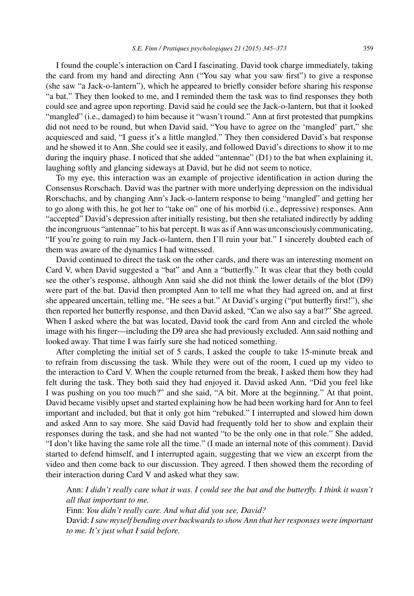I found the couple's interaction on Card I fascinating. David took charge immediately, taking the card from my hand and directing Ann ("You say what you saw first") to give a response (she saw "a Jack-o-lantern"), which he appeared to briefly consider before sharing his response "a bat." They then looked to me, and I reminded them the task was to find responses they both could see and agree upon reporting. David said he could see the Jack-o-lantern, but that it looked "mangled" (i.e., damaged) to him because it "wasn't round." Ann at first protested that pumpkins did not need to be round, but when David said, "You have to agree on the 'mangled' part," she acquiesced and said, "I guess it's a little mangled." They then considered David's bat response and he showed it to Ann. She could see it easily, and followed David's directions to show it to me during the inquiry phase. I noticed that she added "antennae" (D1) to the bat when explaining it, laughing softly and glancing sideways at David, but he did not seem to notice.

To my eye, this interaction was an example of projective identification in action during the Consensus Rorschach. David was the partner with more underlying depression on the individual Rorschachs, and by changing Ann's Jack-o-lantern response to being "mangled" and getting her to go along with this, he got her to "take on" one of his morbid (i.e., depressive) responses. Ann "accepted" David's depression after initially resisting, but then she retaliated indirectly by adding the incongruous "antennae" to his bat percept. It was asif Ann was unconsciously communicating, "If you're going to ruin my Jack-o-lantern, then I'll ruin your bat." I sincerely doubted each of them was aware of the dynamics I had witnessed.

David continued to direct the task on the other cards, and there was an interesting moment on Card V, when David suggested a "bat" and Ann a "butterfly." It was clear that they both could see the other's response, although Ann said she did not think the lower details of the blot (D9) were part of the bat. David then prompted Ann to tell me what they had agreed on, and at first she appeared uncertain, telling me, "He sees a bat." At David's urging ("put butterfly first!"), she then reported her butterfly response, and then David asked, "Can we also say a bat?" She agreed. When I asked where the bat was located, David took the card from Ann and circled the whole image with his finger—including the D9 area she had previously excluded. Ann said nothing and looked away. That time I was fairly sure she had noticed something.

After completing the initial set of 5 cards, I asked the couple to take 15-minute break and to refrain from discussing the task. While they were out of the room, I cued up my video to the interaction to Card V. When the couple returned from the break, I asked them how they had felt during the task. They both said they had enjoyed it. David asked Ann, "Did you feel like I was pushing on you too much?" and she said, "A bit. More at the beginning." At that point, David became visibly upset and started explaining how he had been working hard for Ann to feel important and included, but that it only got him "rebuked." I interrupted and slowed him down and asked Ann to say more. She said David had frequently told her to show and explain their responses during the task, and she had not wanted "to be the only one in that role." She added, "I don't like having the same role all the time." (I made an internal note of this comment). David started to defend himself, and I interrupted again, suggesting that we view an excerpt from the video and then come back to our discussion. They agreed. I then showed them the recording of their interaction during Card V and asked what they saw.

Ann: I didn't really care what it was. I could see the bat and the butterfly. I think it wasn't *all that important to me.*

Finn: *You didn't really care. And what did you see, David?*

David: *Isaw myself bending over backwardsto show Ann that herresponses were important to me. It's just what I said before.*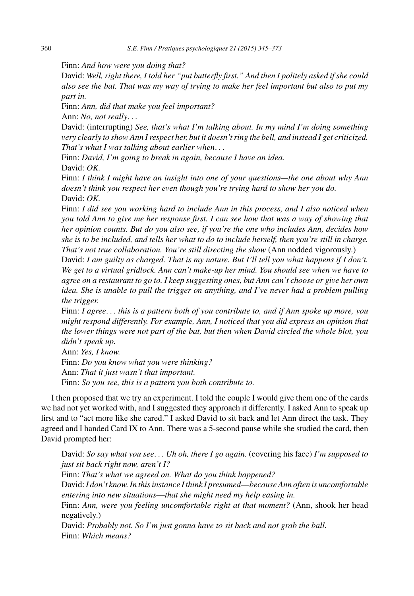Finn: *And how were you doing that?*

David: *Well, right there, I told her "put butterfly first." And then I politely asked if she could* also see the bat. That was my way of trying to make her feel important but also to put my *part in.*

Finn: *Ann, did that make you feel important?*

Ann: *No, not really*. . .

David: (interrupting) *See, that's what I'm talking about. In my mind I'm doing something very clearly to show Ann Irespect her, but it doesn'tring the bell, and instead I get criticized. That's what I was talking about earlier when*. . .

Finn: *David, I'm going to break in again, because I have an idea.* David: *OK.*

Finn: *I think I might have an insight into one of your questions—the one about why Ann doesn't think you respect her even though you're trying hard to show her you do.* David: *OK.*

Finn: *I did see you working hard to include Ann in this process, and I also noticed when* you told Ann to give me her response first. I can see how that was a way of showing that *her opinion counts. But do you also see, if you're the one who includes Ann, decides how* she is to be included, and tells her what to do to include herself, then you're still in charge. *That's not true collaboration. You're still directing the show* (Ann nodded vigorously.)

David: *I am guilty as charged. That is my nature. But I'll tell you what happens if I don't. We get to a virtual gridlock. Ann can't make-up her mind. You should see when we have to* agree on a restaurant to go to. I keep suggesting ones, but Ann can't choose or give her own *idea. She is unable to pull the trigger on anything, and I've never had a problem pulling the trigger.*

Finn: *I agree*. . . *this is a pattern both of you contribute to, and if Ann spoke up more, you might respond differently. For example, Ann, I noticed that you did express an opinion that the lower things were not part of the bat, but then when David circled the whole blot, you didn't speak up.*

Ann: *Yes, I know.* Finn: *Do you know what you were thinking?* Ann: *That it just wasn't that important.* Finn: *So you see, this is a pattern you both contribute to.*

I then proposed that we try an experiment. I told the couple I would give them one of the cards we had not yet worked with, and I suggested they approach it differently. I asked Ann to speak up first and to "act more like she cared." I asked David to sit back and let Ann direct the task. They agreed and I handed Card IX to Ann. There was a 5-second pause while she studied the card, then David prompted her:

David: *So say what you see*. . . *Uh oh, there I go again.* (covering his face) *I'm supposed to just sit back right now, aren't I?*

Finn: *That's what we agreed on. What do you think happened?*

David:*I don't know.In thisinstance Ithink I presumed*—*becauseAnn often is uncomfortable entering into new situations*—*that she might need my help easing in.*

Finn: *Ann, were you feeling uncomfortable right at that moment?* (Ann, shook her head negatively.)

David: *Probably not. So I'm just gonna have to sit back and not grab the ball.* Finn: *Which means?*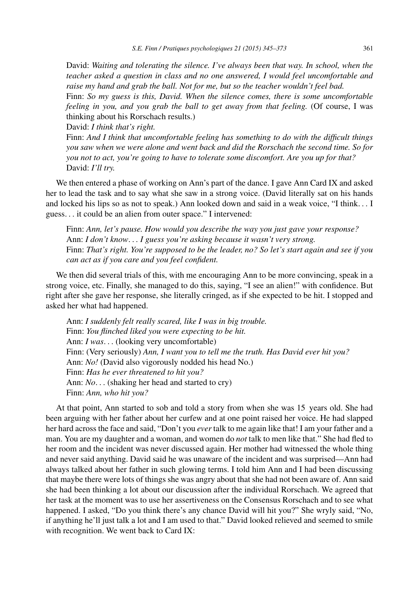David: *Waiting and tolerating the silence. I've always been that way. In school, when the teacher asked a question in class and no one answered, I would feel uncomfortable and raise my hand and grab the ball. Not for me, but so the teacher wouldn't feel bad.*

Finn: *So my guess is this, David. When the silence comes, there is some uncomfortable feeling in you, and you grab the ball to get away from that feeling.* (Of course, I was thinking about his Rorschach results.)

David: *I think that's right.*

Finn: *And I think that uncomfortable feeling has something to do with the difficult things you saw when we were alone and went back and did the Rorschach the second time. So for you not to act, you're going to have to tolerate some discomfort. Are you up for that?* David: *I'll try.*

We then entered a phase of working on Ann's part of the dance. I gave Ann Card IX and asked her to lead the task and to say what she saw in a strong voice. (David literally sat on his hands and locked his lips so as not to speak.) Ann looked down and said in a weak voice, "I think. . . I guess. . . it could be an alien from outer space." I intervened:

Finn: *Ann, let's pause. How would you describe the way you just gave your response?* Ann: *I don't know*. . . *I guess you're asking because it wasn't very strong.* Finn: *That's right. You're supposed to be the leader, no? So let's start again and see if you can act as if you care and you feel confident.*

We then did several trials of this, with me encouraging Ann to be more convincing, speak in a strong voice, etc. Finally, she managed to do this, saying, "I see an alien!" with confidence. But right after she gave her response, she literally cringed, as if she expected to be hit. I stopped and asked her what had happened.

Ann: *I suddenly felt really scared, like I was in big trouble.* Finn: *You flinched liked you were expecting to be hit.* Ann: *I was*. . . (looking very uncomfortable) Finn: (Very seriously) *Ann, I want you to tell me the truth. Has David ever hit you?* Ann: *No!* (David also vigorously nodded his head No.) Finn: *Has he ever threatened to hit you?* Ann: *No*... (shaking her head and started to cry) Finn: *Ann, who hit you?*

At that point, Ann started to sob and told a story from when she was 15 years old. She had been arguing with her father about her curfew and at one point raised her voice. He had slapped her hard across the face and said, "Don't you *ever* talk to me again like that! I am your father and a man. You are my daughter and a woman, and women do *not* talk to men like that." She had fled to her room and the incident was never discussed again. Her mother had witnessed the whole thing and never said anything. David said he was unaware of the incident and was surprised—Ann had always talked about her father in such glowing terms. I told him Ann and I had been discussing that maybe there were lots of things she was angry about that she had not been aware of. Ann said she had been thinking a lot about our discussion after the individual Rorschach. We agreed that her task at the moment was to use her assertiveness on the Consensus Rorschach and to see what happened. I asked, "Do you think there's any chance David will hit you?" She wryly said, "No, if anything he'll just talk a lot and I am used to that." David looked relieved and seemed to smile with recognition. We went back to Card IX: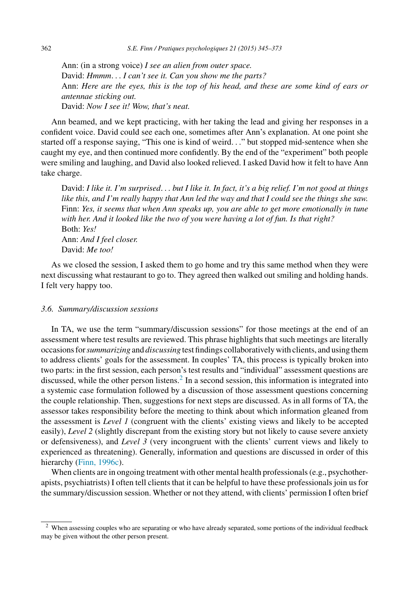Ann: (in a strong voice) *I see an alien from outer space.* David: *Hmmm*. . . *I can't see it. Can you show me the parts?* Ann: *Here are the eyes, this is the top of his head, and these are some kind of ears or antennae sticking out.* David: *Now I see it! Wow, that's neat.*

Ann beamed, and we kept practicing, with her taking the lead and giving her responses in a confident voice. David could see each one, sometimes after Ann's explanation. At one point she started off a response saying, "This one is kind of weird. . ." but stopped mid-sentence when she caught my eye, and then continued more confidently. By the end of the "experiment" both people were smiling and laughing, and David also looked relieved. I asked David how it felt to have Ann take charge.

David: I like it. I'm surprised... but I like it. In fact, it's a big relief. I'm not good at things like this, and I'm really happy that Ann led the way and that I could see the things she saw. Finn: *Yes, it seems that when Ann speaks up, you are able to get more emotionally in tune with her. And it looked like the two of you were having a lot of fun. Is that right?* Both: *Yes!* Ann: *And I feel closer.* David: *Me too!*

As we closed the session, I asked them to go home and try this same method when they were next discussing what restaurant to go to. They agreed then walked out smiling and holding hands. I felt very happy too.

#### *3.6. Summary/discussion sessions*

In TA, we use the term "summary/discussion sessions" for those meetings at the end of an assessment where test results are reviewed. This phrase highlights that such meetings are literally occasionsfor*summarizing* and *discussing* test findings collaboratively with clients, and using them to address clients' goals for the assessment. In couples' TA, this process is typically broken into two parts: in the first session, each person's test results and "individual" assessment questions are discussed, while the other person listens.<sup>2</sup> In a second session, this information is integrated into a systemic case formulation followed by a discussion of those assessment questions concerning the couple relationship. Then, suggestions for next steps are discussed. As in all forms of TA, the assessor takes responsibility before the meeting to think about which information gleaned from the assessment is *Level 1* (congruent with the clients' existing views and likely to be accepted easily), *Level* 2 (slightly discrepant from the existing story but not likely to cause severe anxiety or defensiveness), and *Level 3* (very incongruent with the clients' current views and likely to experienced as threatening). Generally, information and questions are discussed in order of this hierarchy ([Finn,](#page-27-0) [1996c\).](#page-27-0)

When clients are in ongoing treatment with other mental health professionals (e.g., psychotherapists, psychiatrists) I often tell clients that it can be helpful to have these professionals join us for the summary/discussion session. Whether or not they attend, with clients' permission I often brief

<sup>&</sup>lt;sup>2</sup> When assessing couples who are separating or who have already separated, some portions of the individual feedback may be given without the other person present.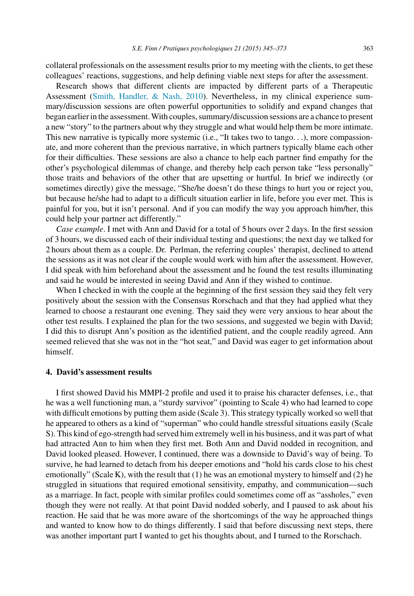collateral professionals on the assessment results prior to my meeting with the clients, to get these colleagues' reactions, suggestions, and help defining viable next steps for after the assessment.

Research shows that different clients are impacted by different parts of a Therapeutic Assessment ([Smith,](#page-28-0) [Handler,](#page-28-0) [&](#page-28-0) [Nash,](#page-28-0) [2010\).](#page-28-0) Nevertheless, in my clinical experience summary/discussion sessions are often powerful opportunities to solidify and expand changes that began earlier in the assessment. With couples, summary/discussion sessions are a chance to present a new "story" to the partners about why they struggle and what would help them be more intimate. This new narrative is typically more systemic (i.e., "It takes two to tango...), more compassionate, and more coherent than the previous narrative, in which partners typically blame each other for their difficulties. These sessions are also a chance to help each partner find empathy for the other's psychological dilemmas of change, and thereby help each person take "less personally" those traits and behaviors of the other that are upsetting or hurtful. In brief we indirectly (or sometimes directly) give the message, "She/he doesn't do these things to hurt you or reject you, but because he/she had to adapt to a difficult situation earlier in life, before you ever met. This is painful for you, but it isn't personal. And if you can modify the way you approach him/her, this could help your partner act differently."

*Case example*. I met with Ann and David for a total of 5 hours over 2 days. In the first session of 3 hours, we discussed each of their individual testing and questions; the next day we talked for 2 hours about them as a couple. Dr. Perlman, the referring couples' therapist, declined to attend the sessions as it was not clear if the couple would work with him after the assessment. However, I did speak with him beforehand about the assessment and he found the test results illuminating and said he would be interested in seeing David and Ann if they wished to continue.

When I checked in with the couple at the beginning of the first session they said they felt very positively about the session with the Consensus Rorschach and that they had applied what they learned to choose a restaurant one evening. They said they were very anxious to hear about the other test results. I explained the plan for the two sessions, and suggested we begin with David; I did this to disrupt Ann's position as the identified patient, and the couple readily agreed. Ann seemed relieved that she was not in the "hot seat," and David was eager to get information about himself.

### **4. David's assessment results**

I first showed David his MMPI-2 profile and used it to praise his character defenses, i.e., that he was a well functioning man, a "sturdy survivor" (pointing to Scale 4) who had learned to cope with difficult emotions by putting them aside (Scale 3). This strategy typically worked so well that he appeared to others as a kind of "superman" who could handle stressful situations easily (Scale S). This kind of ego-strength had served him extremely well in his business, and it was part of what had attracted Ann to him when they first met. Both Ann and David nodded in recognition, and David looked pleased. However, I continued, there was a downside to David's way of being. To survive, he had learned to detach from his deeper emotions and "hold his cards close to his chest emotionally" (Scale K), with the result that (1) he was an emotional mystery to himself and (2) he struggled in situations that required emotional sensitivity, empathy, and communication—such as a marriage. In fact, people with similar profiles could sometimes come off as "assholes," even though they were not really. At that point David nodded soberly, and I paused to ask about his reaction. He said that he was more aware of the shortcomings of the way he approached things and wanted to know how to do things differently. I said that before discussing next steps, there was another important part I wanted to get his thoughts about, and I turned to the Rorschach.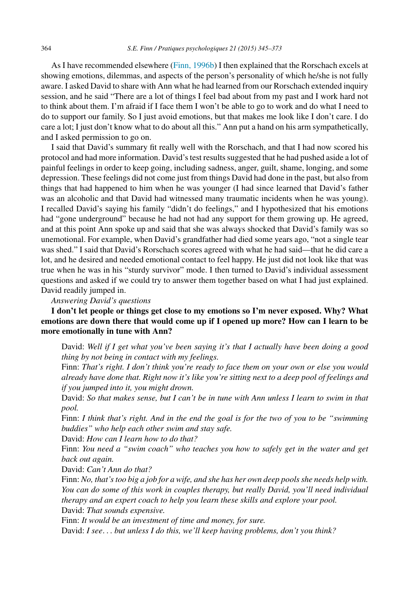As I have recommended elsewhere [\(Finn,](#page-27-0) [1996b\)](#page-27-0) I then explained that the Rorschach excels at showing emotions, dilemmas, and aspects of the person's personality of which he/she is not fully aware. I asked David to share with Ann what he had learned from our Rorschach extended inquiry session, and he said "There are a lot of things I feel bad about from my past and I work hard not to think about them. I'm afraid if I face them I won't be able to go to work and do what I need to do to support our family. So I just avoid emotions, but that makes me look like I don't care. I do care a lot; I just don't know what to do about all this." Ann put a hand on his arm sympathetically, and I asked permission to go on.

I said that David's summary fit really well with the Rorschach, and that I had now scored his protocol and had more information. David's test results suggested that he had pushed aside a lot of painful feelings in order to keep going, including sadness, anger, guilt, shame, longing, and some depression. These feelings did not come just from things David had done in the past, but also from things that had happened to him when he was younger (I had since learned that David's father was an alcoholic and that David had witnessed many traumatic incidents when he was young). I recalled David's saying his family "didn't do feelings," and I hypothesized that his emotions had "gone underground" because he had not had any support for them growing up. He agreed, and at this point Ann spoke up and said that she was always shocked that David's family was so unemotional. For example, when David's grandfather had died some years ago, "not a single tear was shed." I said that David's Rorschach scores agreed with what he had said—that he did care a lot, and he desired and needed emotional contact to feel happy. He just did not look like that was true when he was in his "sturdy survivor" mode. I then turned to David's individual assessment questions and asked if we could try to answer them together based on what I had just explained. David readily jumped in.

*Answering David's questions*

**I don't let people or things get close to my emotions so I'm never exposed. Why? What emotions are down there that would come up if I opened up more? How can I learn to be more emotionally in tune with Ann?**

David: *Well if I get what you've been saying it's that I actually have been doing a good thing by not being in contact with my feelings.*

Finn: *That's right. I don't think you're ready to face them on your own or else you would already have done that. Right now it's like you're sitting next to a deep pool of feelings and if you jumped into it, you might drown.*

David: *So that makes sense, but I can't be in tune with Ann unless I learn to swim in that pool.*

Finn: *I think that's right. And in the end the goal is for the two of you to be "swimming buddies" who help each other swim and stay safe.*

David: *How can I learn how to do that?*

Finn: *You need a "swim coach" who teaches you how to safely get in the water and get back out again.*

David: *Can't Ann do that?*

Finn: *No, that'stoo big a job for a wife, and she has her own deep poolsshe needs help with. You can do some of this work in couples therapy, but really David, you'll need individual therapy and an expert coach to help you learn these skills and explore your pool.* David: *That sounds expensive.*

Finn: *It would be an investment of time and money, for sure.*

David: *I see*. . . *but unless I do this, we'll keep having problems, don't you think?*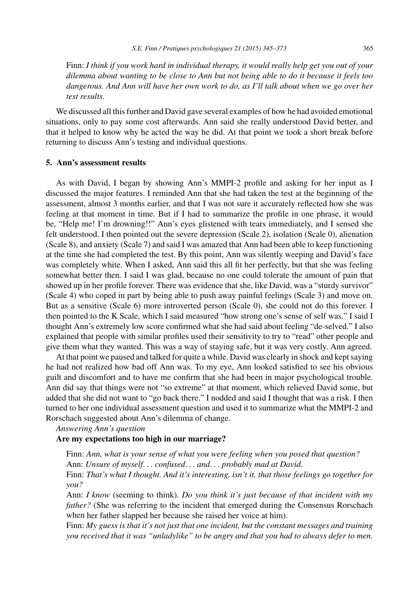Finn: *I think if you work hard in individual therapy, it would really help get you out of your dilemma about wanting to be close to Ann but not being able to do it because it feels too dangerous. And Ann will have her own work to do, as I'll talk about when we go over her test results.*

We discussed all this further and David gave several examples of how he had avoided emotional situations, only to pay some cost afterwards. Ann said she really understood David better, and that it helped to know why he acted the way he did. At that point we took a short break before returning to discuss Ann's testing and individual questions.

### **5. Ann's assessment results**

As with David, I began by showing Ann's MMPI-2 profile and asking for her input as I discussed the major features. I reminded Ann that she had taken the test at the beginning of the assessment, almost 3 months earlier, and that I was not sure it accurately reflected how she was feeling at that moment in time. But if I had to summarize the profile in one phrase, it would be, "Help me! I'm drowning!!" Ann's eyes glistened with tears immediately, and I sensed she felt understood. I then pointed out the severe depression (Scale 2), isolation (Scale 0), alienation (Scale 8), and anxiety (Scale 7) and said I was amazed that Ann had been able to keep functioning at the time she had completed the test. By this point, Ann was silently weeping and David's face was completely white. When I asked, Ann said this all fit her perfectly, but that she was feeling somewhat better then. I said I was glad, because no one could tolerate the amount of pain that showed up in her profile forever. There was evidence that she, like David, was a "sturdy survivor" (Scale 4) who coped in part by being able to push away painful feelings (Scale 3) and move on. But as a sensitive (Scale 6) more introverted person (Scale 0), she could not do this forever. I then pointed to the K Scale, which I said measured "how strong one's sense of self was." I said I thought Ann's extremely low score confirmed what she had said about feeling "de-selved." I also explained that people with similar profiles used their sensitivity to try to "read" other people and give them what they wanted. This was a way of staying safe, but it was very costly. Ann agreed.

At that point we paused and talked for quite a while. David was clearly in shock and kept saying he had not realized how bad off Ann was. To my eye, Ann looked satisfied to see his obvious guilt and discomfort and to have me confirm that she had been in major psychological trouble. Ann did say that things were not "so extreme" at that moment, which relieved David some, but added that she did not want to "go back there." I nodded and said I thought that was a risk. I then turned to her one individual assessment question and used it to summarize what the MMPI-2 and Rorschach suggested about Ann's dilemma of change.

*Answering Ann's question*

# **Are my expectations too high in our marriage?**

Finn: *Ann, what is your sense of what you were feeling when you posed that question?* Ann: *Unsure of myself*. . . *confused*. . . *and*. . . *probably mad at David.* Finn: *That's what I thought. And it's interesting, isn't it, that those feelings go together for you?*

Ann: *I know* (seeming to think). *Do you think it's just because of that incident with my father?* (She was referring to the incident that emerged during the Consensus Rorschach when her father slapped her because she raised her voice at him).

Finn: *My guess is that it's not just that one incident, but the constant messages and training you received that it was "unladylike" to be angry and that you had to always defer to men.*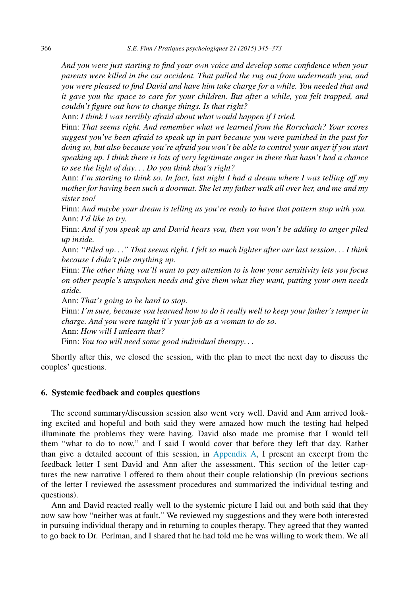*And you were just starting to find your own voice and develop some confidence when your parents were killed in the car accident. That pulled the rug out from underneath you, and you were pleased to find David and have him take charge for a while. You needed that and it gave you the space to care for your children. But after a while, you felt trapped, and couldn't figure out how to change things. Is that right?*

Ann: *I think I was terribly afraid about what would happen if I tried.*

Finn: *That seems right. And remember what we learned from the Rorschach? Your scores suggest you've been afraid to speak up in part because you were punished in the past for doing so, but also because you're afraid you won't be able to control your anger if you start speaking up. I think there is lots of very legitimate anger in there that hasn't had a chance to see the light of day*. . . *Do you think that's right?*

Ann: *I'm starting to think so. In fact, last night I had a dream where I was telling off my mother for having been such a doormat. She let my father walk all over her, and me and my sister too!*

Finn: *And maybe your dream is telling us you're ready to have that pattern stop with you.* Ann: *I'd like to try.*

Finn: *And if you speak up and David hears you, then you won't be adding to anger piled up inside.*

Ann: *"Piled up*. . .*" That seems right. I felt so much lighter after our last session*. . . *I think because I didn't pile anything up.*

Finn: *The other thing you'll want to pay attention to is how your sensitivity lets you focus on other people's unspoken needs and give them what they want, putting your own needs aside.*

Ann: *That's going to be hard to stop.*

Finn: *I'm sure, because you learned how to do it really well to keep your father's temper in charge. And you were taught it's your job as a woman to do so.*

Ann: *How will I unlearn that?*

Finn: *You too will need some good individual therapy*. . .

Shortly after this, we closed the session, with the plan to meet the next day to discuss the couples' questions.

### **6. Systemic feedback and couples questions**

The second summary/discussion session also went very well. David and Ann arrived looking excited and hopeful and both said they were amazed how much the testing had helped illuminate the problems they were having. David also made me promise that I would tell them "what to do to now," and I said I would cover that before they left that day. Rather than give a detailed account of this session, in [Appendix](#page-24-0) [A,](#page-24-0) I present an excerpt from the feedback letter I sent David and Ann after the assessment. This section of the letter captures the new narrative I offered to them about their couple relationship (In previous sections of the letter I reviewed the assessment procedures and summarized the individual testing and questions).

Ann and David reacted really well to the systemic picture I laid out and both said that they now saw how "neither was at fault." We reviewed my suggestions and they were both interested in pursuing individual therapy and in returning to couples therapy. They agreed that they wanted to go back to Dr. Perlman, and I shared that he had told me he was willing to work them. We all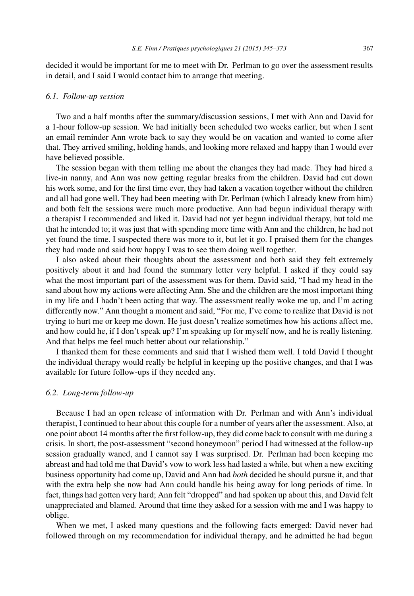decided it would be important for me to meet with Dr. Perlman to go over the assessment results in detail, and I said I would contact him to arrange that meeting.

### *6.1. Follow-up session*

Two and a half months after the summary/discussion sessions, I met with Ann and David for a 1-hour follow-up session. We had initially been scheduled two weeks earlier, but when I sent an email reminder Ann wrote back to say they would be on vacation and wanted to come after that. They arrived smiling, holding hands, and looking more relaxed and happy than I would ever have believed possible.

The session began with them telling me about the changes they had made. They had hired a live-in nanny, and Ann was now getting regular breaks from the children. David had cut down his work some, and for the first time ever, they had taken a vacation together without the children and all had gone well. They had been meeting with Dr. Perlman (which I already knew from him) and both felt the sessions were much more productive. Ann had begun individual therapy with a therapist I recommended and liked it. David had not yet begun individual therapy, but told me that he intended to; it was just that with spending more time with Ann and the children, he had not yet found the time. I suspected there was more to it, but let it go. I praised them for the changes they had made and said how happy I was to see them doing well together.

I also asked about their thoughts about the assessment and both said they felt extremely positively about it and had found the summary letter very helpful. I asked if they could say what the most important part of the assessment was for them. David said, "I had my head in the sand about how my actions were affecting Ann. She and the children are the most important thing in my life and I hadn't been acting that way. The assessment really woke me up, and I'm acting differently now." Ann thought a moment and said, "For me, I've come to realize that David is not trying to hurt me or keep me down. He just doesn't realize sometimes how his actions affect me, and how could he, if I don't speak up? I'm speaking up for myself now, and he is really listening. And that helps me feel much better about our relationship."

I thanked them for these comments and said that I wished them well. I told David I thought the individual therapy would really be helpful in keeping up the positive changes, and that I was available for future follow-ups if they needed any.

### *6.2. Long-term follow-up*

Because I had an open release of information with Dr. Perlman and with Ann's individual therapist, I continued to hear about this couple for a number of years after the assessment. Also, at one point about 14 months after the first follow-up, they did come back to consult with me during a crisis. In short, the post-assessment "second honeymoon" period I had witnessed at the follow-up session gradually waned, and I cannot say I was surprised. Dr. Perlman had been keeping me abreast and had told me that David's vow to work less had lasted a while, but when a new exciting business opportunity had come up, David and Ann had *both* decided he should pursue it, and that with the extra help she now had Ann could handle his being away for long periods of time. In fact, things had gotten very hard; Ann felt "dropped" and had spoken up about this, and David felt unappreciated and blamed. Around that time they asked for a session with me and I was happy to oblige.

When we met, I asked many questions and the following facts emerged: David never had followed through on my recommendation for individual therapy, and he admitted he had begun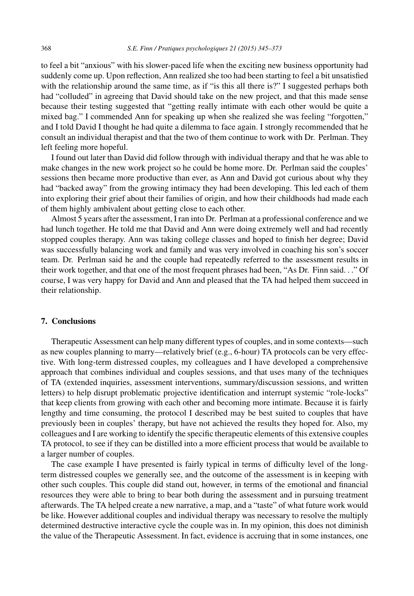to feel a bit "anxious" with his slower-paced life when the exciting new business opportunity had suddenly come up. Upon reflection, Ann realized she too had been starting to feel a bit unsatisfied with the relationship around the same time, as if "is this all there is?" I suggested perhaps both had "colluded" in agreeing that David should take on the new project, and that this made sense because their testing suggested that "getting really intimate with each other would be quite a mixed bag." I commended Ann for speaking up when she realized she was feeling "forgotten," and I told David I thought he had quite a dilemma to face again. I strongly recommended that he consult an individual therapist and that the two of them continue to work with Dr. Perlman. They left feeling more hopeful.

I found out later than David did follow through with individual therapy and that he was able to make changes in the new work project so he could be home more. Dr. Perlman said the couples' sessions then became more productive than ever, as Ann and David got curious about why they had "backed away" from the growing intimacy they had been developing. This led each of them into exploring their grief about their families of origin, and how their childhoods had made each of them highly ambivalent about getting close to each other.

Almost 5 years after the assessment, I ran into Dr. Perlman at a professional conference and we had lunch together. He told me that David and Ann were doing extremely well and had recently stopped couples therapy. Ann was taking college classes and hoped to finish her degree; David was successfully balancing work and family and was very involved in coaching his son's soccer team. Dr. Perlman said he and the couple had repeatedly referred to the assessment results in their work together, and that one of the most frequent phrases had been, "As Dr. Finn said. . ." Of course, I was very happy for David and Ann and pleased that the TA had helped them succeed in their relationship.

### **7. Conclusions**

Therapeutic Assessment can help many different types of couples, and in some contexts—such as new couples planning to marry—relatively brief (e.g., 6-hour) TA protocols can be very effective. With long-term distressed couples, my colleagues and I have developed a comprehensive approach that combines individual and couples sessions, and that uses many of the techniques of TA (extended inquiries, assessment interventions, summary/discussion sessions, and written letters) to help disrupt problematic projective identification and interrupt systemic "role-locks" that keep clients from growing with each other and becoming more intimate. Because it is fairly lengthy and time consuming, the protocol I described may be best suited to couples that have previously been in couples' therapy, but have not achieved the results they hoped for. Also, my colleagues and I are working to identify the specific therapeutic elements of this extensive couples TA protocol, to see if they can be distilled into a more efficient process that would be available to a larger number of couples.

The case example I have presented is fairly typical in terms of difficulty level of the longterm distressed couples we generally see, and the outcome of the assessment is in keeping with other such couples. This couple did stand out, however, in terms of the emotional and financial resources they were able to bring to bear both during the assessment and in pursuing treatment afterwards. The TA helped create a new narrative, a map, and a "taste" of what future work would be like. However additional couples and individual therapy was necessary to resolve the multiply determined destructive interactive cycle the couple was in. In my opinion, this does not diminish the value of the Therapeutic Assessment. In fact, evidence is accruing that in some instances, one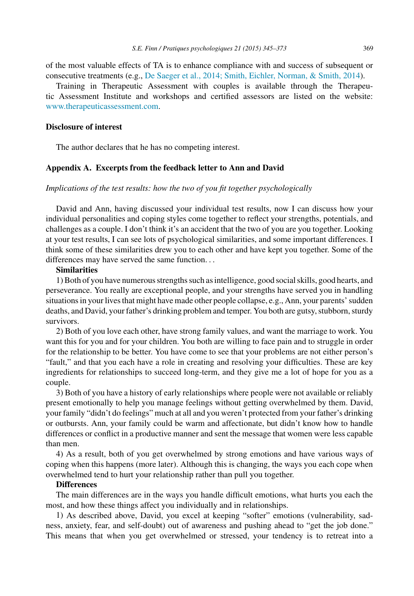<span id="page-24-0"></span>of the most valuable effects of TA is to enhance compliance with and success of subsequent or consecutive treatments (e.g., [De](#page-27-0) [Saeger](#page-27-0) et [al.,](#page-27-0) [2014;](#page-27-0) [Smith,](#page-27-0) [Eichler,](#page-27-0) [Norman,](#page-27-0) [&](#page-27-0) [Smith,](#page-27-0) [2014\).](#page-27-0)

Training in Therapeutic Assessment with couples is available through the Therapeutic Assessment Institute and workshops and certified assessors are listed on the website: [www.therapeuticassessment.com.](http://www.therapeuticassessment.com/)

# **Disclosure of interest**

The author declares that he has no competing interest.

### **Appendix A. Excerpts from the feedback letter to Ann and David**

# *Implications of the test results: how the two of you fit together psychologically*

David and Ann, having discussed your individual test results, now I can discuss how your individual personalities and coping styles come together to reflect your strengths, potentials, and challenges as a couple. I don't think it's an accident that the two of you are you together. Looking at your test results, I can see lots of psychological similarities, and some important differences. I think some of these similarities drew you to each other and have kept you together. Some of the differences may have served the same function. . .

### **Similarities**

1)Both of you have numerousstrengthssuch asintelligence, good socialskills, good hearts, and perseverance. You really are exceptional people, and your strengths have served you in handling situations in your lives that might have made other people collapse, e.g., Ann, your parents' sudden deaths, and David, your father's drinking problem and temper. You both are gutsy, stubborn, sturdy survivors.

2) Both of you love each other, have strong family values, and want the marriage to work. You want this for you and for your children. You both are willing to face pain and to struggle in order for the relationship to be better. You have come to see that your problems are not either person's "fault," and that you each have a role in creating and resolving your difficulties. These are key ingredients for relationships to succeed long-term, and they give me a lot of hope for you as a couple.

3) Both of you have a history of early relationships where people were not available or reliably present emotionally to help you manage feelings without getting overwhelmed by them. David, your family "didn't do feelings" much at all and you weren't protected from your father's drinking or outbursts. Ann, your family could be warm and affectionate, but didn't know how to handle differences or conflict in a productive manner and sent the message that women were less capable than men.

4) As a result, both of you get overwhelmed by strong emotions and have various ways of coping when this happens (more later). Although this is changing, the ways you each cope when overwhelmed tend to hurt your relationship rather than pull you together.

# **Differences**

The main differences are in the ways you handle difficult emotions, what hurts you each the most, and how these things affect you individually and in relationships.

1) As described above, David, you excel at keeping "softer" emotions (vulnerability, sadness, anxiety, fear, and self-doubt) out of awareness and pushing ahead to "get the job done." This means that when you get overwhelmed or stressed, your tendency is to retreat into a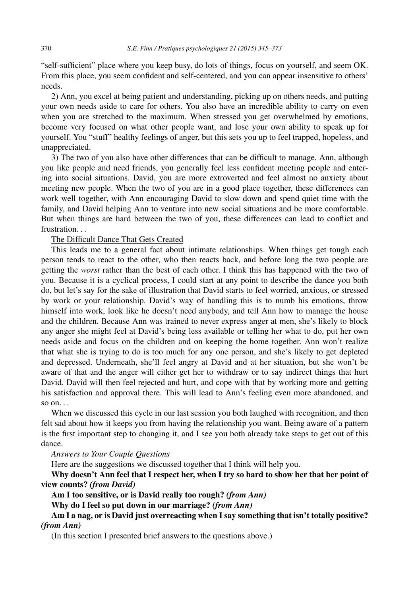"self-sufficient" place where you keep busy, do lots of things, focus on yourself, and seem OK. From this place, you seem confident and self-centered, and you can appear insensitive to others' needs.

2) Ann, you excel at being patient and understanding, picking up on others needs, and putting your own needs aside to care for others. You also have an incredible ability to carry on even when you are stretched to the maximum. When stressed you get overwhelmed by emotions, become very focused on what other people want, and lose your own ability to speak up for yourself. You "stuff" healthy feelings of anger, but this sets you up to feel trapped, hopeless, and unappreciated.

3) The two of you also have other differences that can be difficult to manage. Ann, although you like people and need friends, you generally feel less confident meeting people and entering into social situations. David, you are more extroverted and feel almost no anxiety about meeting new people. When the two of you are in a good place together, these differences can work well together, with Ann encouraging David to slow down and spend quiet time with the family, and David helping Ann to venture into new social situations and be more comfortable. But when things are hard between the two of you, these differences can lead to conflict and frustration

The Difficult Dance That Gets Created

This leads me to a general fact about intimate relationships. When things get tough each person tends to react to the other, who then reacts back, and before long the two people are getting the *worst* rather than the best of each other. I think this has happened with the two of you. Because it is a cyclical process, I could start at any point to describe the dance you both do, but let's say for the sake of illustration that David starts to feel worried, anxious, or stressed by work or your relationship. David's way of handling this is to numb his emotions, throw himself into work, look like he doesn't need anybody, and tell Ann how to manage the house and the children. Because Ann was trained to never express anger at men, she's likely to block any anger she might feel at David's being less available or telling her what to do, put her own needs aside and focus on the children and on keeping the home together. Ann won't realize that what she is trying to do is too much for any one person, and she's likely to get depleted and depressed. Underneath, she'll feel angry at David and at her situation, but she won't be aware of that and the anger will either get her to withdraw or to say indirect things that hurt David. David will then feel rejected and hurt, and cope with that by working more and getting his satisfaction and approval there. This will lead to Ann's feeling even more abandoned, and so on...

When we discussed this cycle in our last session you both laughed with recognition, and then felt sad about how it keeps you from having the relationship you want. Being aware of a pattern is the first important step to changing it, and I see you both already take steps to get out of this dance.

*Answers to Your Couple Questions*

Here are the suggestions we discussed together that I think will help you.

Why doesn't Ann feel that I respect her, when I try so hard to show her that her point of **view counts?** *(from David)*

**Am I too sensitive, or is David really too rough?** *(from Ann)*

**Why do I feel so put down in our marriage?** *(from Ann)*

**Am I a nag, or is David just overreacting when I say something that isn't totally positive?** *(from Ann)*

(In this section I presented brief answers to the questions above.)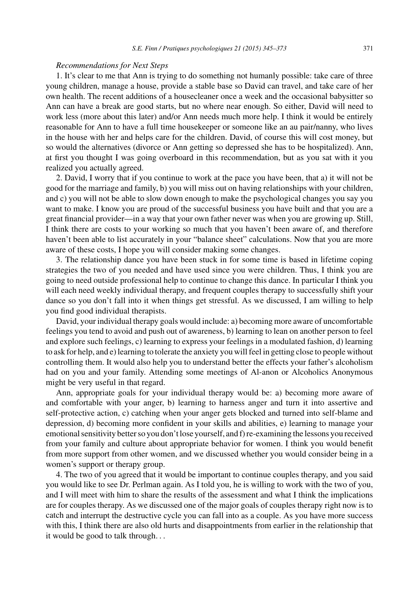### *Recommendations for Next Steps*

1. It's clear to me that Ann is trying to do something not humanly possible: take care of three young children, manage a house, provide a stable base so David can travel, and take care of her own health. The recent additions of a housecleaner once a week and the occasional babysitter so Ann can have a break are good starts, but no where near enough. So either, David will need to work less (more about this later) and/or Ann needs much more help. I think it would be entirely reasonable for Ann to have a full time housekeeper or someone like an au pair/nanny, who lives in the house with her and helps care for the children. David, of course this will cost money, but so would the alternatives (divorce or Ann getting so depressed she has to be hospitalized). Ann, at first you thought I was going overboard in this recommendation, but as you sat with it you realized you actually agreed.

2. David, I worry that if you continue to work at the pace you have been, that a) it will not be good for the marriage and family, b) you will miss out on having relationships with your children, and c) you will not be able to slow down enough to make the psychological changes you say you want to make. I know you are proud of the successful business you have built and that you are a great financial provider—in a way that your own father never was when you are growing up. Still, I think there are costs to your working so much that you haven't been aware of, and therefore haven't been able to list accurately in your "balance sheet" calculations. Now that you are more aware of these costs, I hope you will consider making some changes.

3. The relationship dance you have been stuck in for some time is based in lifetime coping strategies the two of you needed and have used since you were children. Thus, I think you are going to need outside professional help to continue to change this dance. In particular I think you will each need weekly individual therapy, and frequent couples therapy to successfully shift your dance so you don't fall into it when things get stressful. As we discussed, I am willing to help you find good individual therapists.

David, your individual therapy goals would include: a) becoming more aware of uncomfortable feelings you tend to avoid and push out of awareness, b) learning to lean on another person to feel and explore such feelings, c) learning to express your feelings in a modulated fashion, d) learning to ask for help, and e) learning to tolerate the anxiety you will feel in getting close to people without controlling them. It would also help you to understand better the effects your father's alcoholism had on you and your family. Attending some meetings of Al-anon or Alcoholics Anonymous might be very useful in that regard.

Ann, appropriate goals for your individual therapy would be: a) becoming more aware of and comfortable with your anger, b) learning to harness anger and turn it into assertive and self-protective action, c) catching when your anger gets blocked and turned into self-blame and depression, d) becoming more confident in your skills and abilities, e) learning to manage your emotional sensitivity better so you don't lose yourself, and f) re-examining the lessons you received from your family and culture about appropriate behavior for women. I think you would benefit from more support from other women, and we discussed whether you would consider being in a women's support or therapy group.

4. The two of you agreed that it would be important to continue couples therapy, and you said you would like to see Dr. Perlman again. As I told you, he is willing to work with the two of you, and I will meet with him to share the results of the assessment and what I think the implications are for couples therapy. As we discussed one of the major goals of couples therapy right now is to catch and interrupt the destructive cycle you can fall into as a couple. As you have more success with this, I think there are also old hurts and disappointments from earlier in the relationship that it would be good to talk through. . .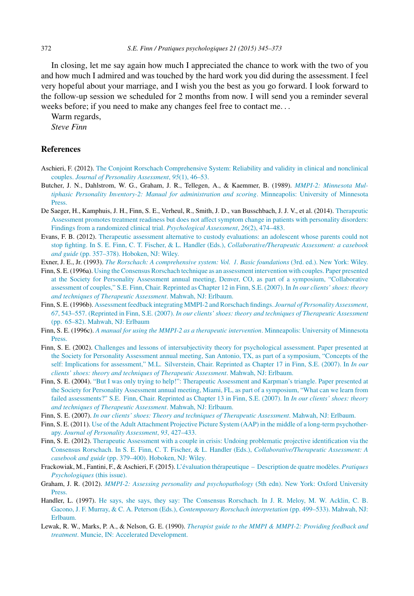<span id="page-27-0"></span>372 *S.E. Finn / Pratiques psychologiques 21 (2015) 345–373*

In closing, let me say again how much I appreciated the chance to work with the two of you and how much I admired and was touched by the hard work you did during the assessment. I feel very hopeful about your marriage, and I wish you the best as you go forward. I look forward to the follow-up session we scheduled for 2 months from now. I will send you a reminder several weeks before; if you need to make any changes feel free to contact me. . .

Warm regards,

*Steve Finn*

# **References**

- Aschieri, F. (2012). [The](http://refhub.elsevier.com/S1269-1763(15)00069-3/sbref0005) [Conjoint](http://refhub.elsevier.com/S1269-1763(15)00069-3/sbref0005) [Rorschach](http://refhub.elsevier.com/S1269-1763(15)00069-3/sbref0005) [Comprehensive](http://refhub.elsevier.com/S1269-1763(15)00069-3/sbref0005) [System:](http://refhub.elsevier.com/S1269-1763(15)00069-3/sbref0005) [Reliability](http://refhub.elsevier.com/S1269-1763(15)00069-3/sbref0005) [and](http://refhub.elsevier.com/S1269-1763(15)00069-3/sbref0005) [validity](http://refhub.elsevier.com/S1269-1763(15)00069-3/sbref0005) [in](http://refhub.elsevier.com/S1269-1763(15)00069-3/sbref0005) [clinical](http://refhub.elsevier.com/S1269-1763(15)00069-3/sbref0005) [and](http://refhub.elsevier.com/S1269-1763(15)00069-3/sbref0005) [nonclinical](http://refhub.elsevier.com/S1269-1763(15)00069-3/sbref0005) [couples.](http://refhub.elsevier.com/S1269-1763(15)00069-3/sbref0005) *[Journal](http://refhub.elsevier.com/S1269-1763(15)00069-3/sbref0005) [of](http://refhub.elsevier.com/S1269-1763(15)00069-3/sbref0005) [Personality](http://refhub.elsevier.com/S1269-1763(15)00069-3/sbref0005) [Assessment](http://refhub.elsevier.com/S1269-1763(15)00069-3/sbref0005)*[,](http://refhub.elsevier.com/S1269-1763(15)00069-3/sbref0005) *[95](http://refhub.elsevier.com/S1269-1763(15)00069-3/sbref0005)*[\(1\),](http://refhub.elsevier.com/S1269-1763(15)00069-3/sbref0005) [46–53.](http://refhub.elsevier.com/S1269-1763(15)00069-3/sbref0005)
- Butcher, J. N., Dahlstrom, W. G., Graham, J. R., Tellegen, A., & Kaemmer, B. (1989). *[MMPI-2:](http://refhub.elsevier.com/S1269-1763(15)00069-3/sbref0010) [Minnesota](http://refhub.elsevier.com/S1269-1763(15)00069-3/sbref0010) [Mul](http://refhub.elsevier.com/S1269-1763(15)00069-3/sbref0010)[tiphasic](http://refhub.elsevier.com/S1269-1763(15)00069-3/sbref0010) [Personality](http://refhub.elsevier.com/S1269-1763(15)00069-3/sbref0010) [Inventory-2:](http://refhub.elsevier.com/S1269-1763(15)00069-3/sbref0010) [Manual](http://refhub.elsevier.com/S1269-1763(15)00069-3/sbref0010) [for](http://refhub.elsevier.com/S1269-1763(15)00069-3/sbref0010) [administration](http://refhub.elsevier.com/S1269-1763(15)00069-3/sbref0010) [and](http://refhub.elsevier.com/S1269-1763(15)00069-3/sbref0010) [scoring](http://refhub.elsevier.com/S1269-1763(15)00069-3/sbref0010)*[.](http://refhub.elsevier.com/S1269-1763(15)00069-3/sbref0010) [Minneapolis:](http://refhub.elsevier.com/S1269-1763(15)00069-3/sbref0010) [University](http://refhub.elsevier.com/S1269-1763(15)00069-3/sbref0010) [of](http://refhub.elsevier.com/S1269-1763(15)00069-3/sbref0010) [Minnesota](http://refhub.elsevier.com/S1269-1763(15)00069-3/sbref0010) [Press.](http://refhub.elsevier.com/S1269-1763(15)00069-3/sbref0010)
- De Saeger, H., Kamphuis, J. H., Finn, S. E., Verheul, R., Smith, J. D., van Busschbach, J. J. V., et al. (2014). [Therapeutic](http://refhub.elsevier.com/S1269-1763(15)00069-3/sbref0015) [Assessment](http://refhub.elsevier.com/S1269-1763(15)00069-3/sbref0015) [promotes](http://refhub.elsevier.com/S1269-1763(15)00069-3/sbref0015) [treatment](http://refhub.elsevier.com/S1269-1763(15)00069-3/sbref0015) [readiness](http://refhub.elsevier.com/S1269-1763(15)00069-3/sbref0015) [but](http://refhub.elsevier.com/S1269-1763(15)00069-3/sbref0015) [does](http://refhub.elsevier.com/S1269-1763(15)00069-3/sbref0015) [not](http://refhub.elsevier.com/S1269-1763(15)00069-3/sbref0015) [affect](http://refhub.elsevier.com/S1269-1763(15)00069-3/sbref0015) [symptom](http://refhub.elsevier.com/S1269-1763(15)00069-3/sbref0015) [change](http://refhub.elsevier.com/S1269-1763(15)00069-3/sbref0015) [in](http://refhub.elsevier.com/S1269-1763(15)00069-3/sbref0015) [patients](http://refhub.elsevier.com/S1269-1763(15)00069-3/sbref0015) [with](http://refhub.elsevier.com/S1269-1763(15)00069-3/sbref0015) [personality](http://refhub.elsevier.com/S1269-1763(15)00069-3/sbref0015) [disorders:](http://refhub.elsevier.com/S1269-1763(15)00069-3/sbref0015) [Findings](http://refhub.elsevier.com/S1269-1763(15)00069-3/sbref0015) [from](http://refhub.elsevier.com/S1269-1763(15)00069-3/sbref0015) [a](http://refhub.elsevier.com/S1269-1763(15)00069-3/sbref0015) [randomized](http://refhub.elsevier.com/S1269-1763(15)00069-3/sbref0015) [clinical](http://refhub.elsevier.com/S1269-1763(15)00069-3/sbref0015) [trial.](http://refhub.elsevier.com/S1269-1763(15)00069-3/sbref0015) *[Psychological](http://refhub.elsevier.com/S1269-1763(15)00069-3/sbref0015) [Assessment](http://refhub.elsevier.com/S1269-1763(15)00069-3/sbref0015)*[,](http://refhub.elsevier.com/S1269-1763(15)00069-3/sbref0015) *[26](http://refhub.elsevier.com/S1269-1763(15)00069-3/sbref0015)*[\(2\),](http://refhub.elsevier.com/S1269-1763(15)00069-3/sbref0015) [474–483.](http://refhub.elsevier.com/S1269-1763(15)00069-3/sbref0015)
- Evans, F. B. (2012). [Therapeutic](http://refhub.elsevier.com/S1269-1763(15)00069-3/sbref0105) [assessment](http://refhub.elsevier.com/S1269-1763(15)00069-3/sbref0105) [alternative](http://refhub.elsevier.com/S1269-1763(15)00069-3/sbref0105) [to](http://refhub.elsevier.com/S1269-1763(15)00069-3/sbref0105) [custody](http://refhub.elsevier.com/S1269-1763(15)00069-3/sbref0105) [evaluations:](http://refhub.elsevier.com/S1269-1763(15)00069-3/sbref0105) [an](http://refhub.elsevier.com/S1269-1763(15)00069-3/sbref0105) [adolescent](http://refhub.elsevier.com/S1269-1763(15)00069-3/sbref0105) [whose](http://refhub.elsevier.com/S1269-1763(15)00069-3/sbref0105) [parents](http://refhub.elsevier.com/S1269-1763(15)00069-3/sbref0105) [could](http://refhub.elsevier.com/S1269-1763(15)00069-3/sbref0105) [not](http://refhub.elsevier.com/S1269-1763(15)00069-3/sbref0105) [stop](http://refhub.elsevier.com/S1269-1763(15)00069-3/sbref0105) [fighting.](http://refhub.elsevier.com/S1269-1763(15)00069-3/sbref0105) [In](http://refhub.elsevier.com/S1269-1763(15)00069-3/sbref0105) [S.](http://refhub.elsevier.com/S1269-1763(15)00069-3/sbref0105) [E.](http://refhub.elsevier.com/S1269-1763(15)00069-3/sbref0105) [Finn,](http://refhub.elsevier.com/S1269-1763(15)00069-3/sbref0105) [C.](http://refhub.elsevier.com/S1269-1763(15)00069-3/sbref0105) [T.](http://refhub.elsevier.com/S1269-1763(15)00069-3/sbref0105) [Fischer,](http://refhub.elsevier.com/S1269-1763(15)00069-3/sbref0105) [&](http://refhub.elsevier.com/S1269-1763(15)00069-3/sbref0105) [L.](http://refhub.elsevier.com/S1269-1763(15)00069-3/sbref0105) [Handler](http://refhub.elsevier.com/S1269-1763(15)00069-3/sbref0105) [\(Eds.\),](http://refhub.elsevier.com/S1269-1763(15)00069-3/sbref0105) *[Collaborative/Therapeutic](http://refhub.elsevier.com/S1269-1763(15)00069-3/sbref0105) [Assessment:](http://refhub.elsevier.com/S1269-1763(15)00069-3/sbref0105) [a](http://refhub.elsevier.com/S1269-1763(15)00069-3/sbref0105) [casebook](http://refhub.elsevier.com/S1269-1763(15)00069-3/sbref0105) [and](http://refhub.elsevier.com/S1269-1763(15)00069-3/sbref0105) [guide](http://refhub.elsevier.com/S1269-1763(15)00069-3/sbref0105)* [\(pp.](http://refhub.elsevier.com/S1269-1763(15)00069-3/sbref0105) [357](http://refhub.elsevier.com/S1269-1763(15)00069-3/sbref0105)–[378\).](http://refhub.elsevier.com/S1269-1763(15)00069-3/sbref0105) [Hoboken,](http://refhub.elsevier.com/S1269-1763(15)00069-3/sbref0105) [NJ:](http://refhub.elsevier.com/S1269-1763(15)00069-3/sbref0105) [Wiley](http://refhub.elsevier.com/S1269-1763(15)00069-3/sbref0105).
- Exner, J. E., Jr. (1993). *[The](http://refhub.elsevier.com/S1269-1763(15)00069-3/sbref0020) [Rorschach:](http://refhub.elsevier.com/S1269-1763(15)00069-3/sbref0020) [A](http://refhub.elsevier.com/S1269-1763(15)00069-3/sbref0020) [comprehensive](http://refhub.elsevier.com/S1269-1763(15)00069-3/sbref0020) [system:](http://refhub.elsevier.com/S1269-1763(15)00069-3/sbref0020) [Vol.](http://refhub.elsevier.com/S1269-1763(15)00069-3/sbref0020) [1.](http://refhub.elsevier.com/S1269-1763(15)00069-3/sbref0020) [Basic](http://refhub.elsevier.com/S1269-1763(15)00069-3/sbref0020) [foundations](http://refhub.elsevier.com/S1269-1763(15)00069-3/sbref0020)* [\(3rd.](http://refhub.elsevier.com/S1269-1763(15)00069-3/sbref0020) [ed.\).](http://refhub.elsevier.com/S1269-1763(15)00069-3/sbref0020) [New](http://refhub.elsevier.com/S1269-1763(15)00069-3/sbref0020) [York:](http://refhub.elsevier.com/S1269-1763(15)00069-3/sbref0020) [Wiley.](http://refhub.elsevier.com/S1269-1763(15)00069-3/sbref0020)
- Finn, S. E. (1996a). [Using](http://refhub.elsevier.com/S1269-1763(15)00069-3/sbref0025) [the](http://refhub.elsevier.com/S1269-1763(15)00069-3/sbref0025) [Consensus](http://refhub.elsevier.com/S1269-1763(15)00069-3/sbref0025) [Rorschach](http://refhub.elsevier.com/S1269-1763(15)00069-3/sbref0025) [technique](http://refhub.elsevier.com/S1269-1763(15)00069-3/sbref0025) [as](http://refhub.elsevier.com/S1269-1763(15)00069-3/sbref0025) [an](http://refhub.elsevier.com/S1269-1763(15)00069-3/sbref0025) [assessment](http://refhub.elsevier.com/S1269-1763(15)00069-3/sbref0025) [intervention](http://refhub.elsevier.com/S1269-1763(15)00069-3/sbref0025) [with](http://refhub.elsevier.com/S1269-1763(15)00069-3/sbref0025) [couples.](http://refhub.elsevier.com/S1269-1763(15)00069-3/sbref0025) [Paper](http://refhub.elsevier.com/S1269-1763(15)00069-3/sbref0025) [presented](http://refhub.elsevier.com/S1269-1763(15)00069-3/sbref0025) [at](http://refhub.elsevier.com/S1269-1763(15)00069-3/sbref0025) [the](http://refhub.elsevier.com/S1269-1763(15)00069-3/sbref0025) [Society](http://refhub.elsevier.com/S1269-1763(15)00069-3/sbref0025) [for](http://refhub.elsevier.com/S1269-1763(15)00069-3/sbref0025) [Personality](http://refhub.elsevier.com/S1269-1763(15)00069-3/sbref0025) [Assessment](http://refhub.elsevier.com/S1269-1763(15)00069-3/sbref0025) [annual](http://refhub.elsevier.com/S1269-1763(15)00069-3/sbref0025) [meeting,](http://refhub.elsevier.com/S1269-1763(15)00069-3/sbref0025) [Denver,](http://refhub.elsevier.com/S1269-1763(15)00069-3/sbref0025) [CO,](http://refhub.elsevier.com/S1269-1763(15)00069-3/sbref0025) [as](http://refhub.elsevier.com/S1269-1763(15)00069-3/sbref0025) [part](http://refhub.elsevier.com/S1269-1763(15)00069-3/sbref0025) [of](http://refhub.elsevier.com/S1269-1763(15)00069-3/sbref0025) [a](http://refhub.elsevier.com/S1269-1763(15)00069-3/sbref0025) [symposium,](http://refhub.elsevier.com/S1269-1763(15)00069-3/sbref0025) ["Collaborative](http://refhub.elsevier.com/S1269-1763(15)00069-3/sbref0025) [assessment](http://refhub.elsevier.com/S1269-1763(15)00069-3/sbref0025) [of](http://refhub.elsevier.com/S1269-1763(15)00069-3/sbref0025) [couples,"](http://refhub.elsevier.com/S1269-1763(15)00069-3/sbref0025) [S.E.](http://refhub.elsevier.com/S1269-1763(15)00069-3/sbref0025) [Finn,](http://refhub.elsevier.com/S1269-1763(15)00069-3/sbref0025) [Chair.](http://refhub.elsevier.com/S1269-1763(15)00069-3/sbref0025) [Reprinted](http://refhub.elsevier.com/S1269-1763(15)00069-3/sbref0025) [as](http://refhub.elsevier.com/S1269-1763(15)00069-3/sbref0025) [Chapter](http://refhub.elsevier.com/S1269-1763(15)00069-3/sbref0025) [12](http://refhub.elsevier.com/S1269-1763(15)00069-3/sbref0025) [in](http://refhub.elsevier.com/S1269-1763(15)00069-3/sbref0025) [Finn,](http://refhub.elsevier.com/S1269-1763(15)00069-3/sbref0025) [S.E.](http://refhub.elsevier.com/S1269-1763(15)00069-3/sbref0025) [\(2007\).](http://refhub.elsevier.com/S1269-1763(15)00069-3/sbref0025) [In](http://refhub.elsevier.com/S1269-1763(15)00069-3/sbref0025) *[In](http://refhub.elsevier.com/S1269-1763(15)00069-3/sbref0025) [our](http://refhub.elsevier.com/S1269-1763(15)00069-3/sbref0025) [clients'](http://refhub.elsevier.com/S1269-1763(15)00069-3/sbref0025) [shoes:](http://refhub.elsevier.com/S1269-1763(15)00069-3/sbref0025) [theory](http://refhub.elsevier.com/S1269-1763(15)00069-3/sbref0025) [and](http://refhub.elsevier.com/S1269-1763(15)00069-3/sbref0025) [techniques](http://refhub.elsevier.com/S1269-1763(15)00069-3/sbref0025) [of](http://refhub.elsevier.com/S1269-1763(15)00069-3/sbref0025) [Therapeutic](http://refhub.elsevier.com/S1269-1763(15)00069-3/sbref0025) [Assessment](http://refhub.elsevier.com/S1269-1763(15)00069-3/sbref0025)*[.](http://refhub.elsevier.com/S1269-1763(15)00069-3/sbref0025) [Mahwah,](http://refhub.elsevier.com/S1269-1763(15)00069-3/sbref0025) [NJ:](http://refhub.elsevier.com/S1269-1763(15)00069-3/sbref0025) [Erlbaum.](http://refhub.elsevier.com/S1269-1763(15)00069-3/sbref0025)
- Finn, S. E. (1996b). [Assessment](http://refhub.elsevier.com/S1269-1763(15)00069-3/sbref0030) [feedback](http://refhub.elsevier.com/S1269-1763(15)00069-3/sbref0030) [integrating](http://refhub.elsevier.com/S1269-1763(15)00069-3/sbref0030) [MMPI-2](http://refhub.elsevier.com/S1269-1763(15)00069-3/sbref0030) [and](http://refhub.elsevier.com/S1269-1763(15)00069-3/sbref0030) [Rorschach](http://refhub.elsevier.com/S1269-1763(15)00069-3/sbref0030) [findings.](http://refhub.elsevier.com/S1269-1763(15)00069-3/sbref0030) *[Journal](http://refhub.elsevier.com/S1269-1763(15)00069-3/sbref0030) [of](http://refhub.elsevier.com/S1269-1763(15)00069-3/sbref0030) [Personality](http://refhub.elsevier.com/S1269-1763(15)00069-3/sbref0030) [Assessment](http://refhub.elsevier.com/S1269-1763(15)00069-3/sbref0030)*[,](http://refhub.elsevier.com/S1269-1763(15)00069-3/sbref0030) *[67](http://refhub.elsevier.com/S1269-1763(15)00069-3/sbref0030)*[,](http://refhub.elsevier.com/S1269-1763(15)00069-3/sbref0030) [543–557.](http://refhub.elsevier.com/S1269-1763(15)00069-3/sbref0030) [\(Reprinted](http://refhub.elsevier.com/S1269-1763(15)00069-3/sbref0030) [in](http://refhub.elsevier.com/S1269-1763(15)00069-3/sbref0030) [Finn,](http://refhub.elsevier.com/S1269-1763(15)00069-3/sbref0030) [S.E.](http://refhub.elsevier.com/S1269-1763(15)00069-3/sbref0030) [\(2007\).](http://refhub.elsevier.com/S1269-1763(15)00069-3/sbref0030) *[In](http://refhub.elsevier.com/S1269-1763(15)00069-3/sbref0030) [our](http://refhub.elsevier.com/S1269-1763(15)00069-3/sbref0030) [clients'](http://refhub.elsevier.com/S1269-1763(15)00069-3/sbref0030) [shoes:](http://refhub.elsevier.com/S1269-1763(15)00069-3/sbref0030) [theory](http://refhub.elsevier.com/S1269-1763(15)00069-3/sbref0030) [and](http://refhub.elsevier.com/S1269-1763(15)00069-3/sbref0030) [techniques](http://refhub.elsevier.com/S1269-1763(15)00069-3/sbref0030) [of](http://refhub.elsevier.com/S1269-1763(15)00069-3/sbref0030) [Therapeutic](http://refhub.elsevier.com/S1269-1763(15)00069-3/sbref0030) [Assessment](http://refhub.elsevier.com/S1269-1763(15)00069-3/sbref0030)* [\(pp.](http://refhub.elsevier.com/S1269-1763(15)00069-3/sbref0030) [65](http://refhub.elsevier.com/S1269-1763(15)00069-3/sbref0030)–[82\).](http://refhub.elsevier.com/S1269-1763(15)00069-3/sbref0030) [Mahwah,](http://refhub.elsevier.com/S1269-1763(15)00069-3/sbref0030) [NJ:](http://refhub.elsevier.com/S1269-1763(15)00069-3/sbref0030) [Erlbaum](http://refhub.elsevier.com/S1269-1763(15)00069-3/sbref0030)
- Finn, S. E. (1996c). *[A](http://refhub.elsevier.com/S1269-1763(15)00069-3/sbref0035) [manual](http://refhub.elsevier.com/S1269-1763(15)00069-3/sbref0035) [for](http://refhub.elsevier.com/S1269-1763(15)00069-3/sbref0035) [using](http://refhub.elsevier.com/S1269-1763(15)00069-3/sbref0035) [the](http://refhub.elsevier.com/S1269-1763(15)00069-3/sbref0035) [MMPI-2](http://refhub.elsevier.com/S1269-1763(15)00069-3/sbref0035) [as](http://refhub.elsevier.com/S1269-1763(15)00069-3/sbref0035) [a](http://refhub.elsevier.com/S1269-1763(15)00069-3/sbref0035) [therapeutic](http://refhub.elsevier.com/S1269-1763(15)00069-3/sbref0035) [intervention](http://refhub.elsevier.com/S1269-1763(15)00069-3/sbref0035)*[.](http://refhub.elsevier.com/S1269-1763(15)00069-3/sbref0035) [Minneapolis:](http://refhub.elsevier.com/S1269-1763(15)00069-3/sbref0035) [University](http://refhub.elsevier.com/S1269-1763(15)00069-3/sbref0035) [of](http://refhub.elsevier.com/S1269-1763(15)00069-3/sbref0035) [Minnesota](http://refhub.elsevier.com/S1269-1763(15)00069-3/sbref0035) [Press.](http://refhub.elsevier.com/S1269-1763(15)00069-3/sbref0035)
- Finn, S. E. (2002). [Challenges](http://refhub.elsevier.com/S1269-1763(15)00069-3/sbref0040) [and](http://refhub.elsevier.com/S1269-1763(15)00069-3/sbref0040) [lessons](http://refhub.elsevier.com/S1269-1763(15)00069-3/sbref0040) [of](http://refhub.elsevier.com/S1269-1763(15)00069-3/sbref0040) [intersubjectivity](http://refhub.elsevier.com/S1269-1763(15)00069-3/sbref0040) [theory](http://refhub.elsevier.com/S1269-1763(15)00069-3/sbref0040) [for](http://refhub.elsevier.com/S1269-1763(15)00069-3/sbref0040) [psychological](http://refhub.elsevier.com/S1269-1763(15)00069-3/sbref0040) [assessment.](http://refhub.elsevier.com/S1269-1763(15)00069-3/sbref0040) [Paper](http://refhub.elsevier.com/S1269-1763(15)00069-3/sbref0040) [presented](http://refhub.elsevier.com/S1269-1763(15)00069-3/sbref0040) [at](http://refhub.elsevier.com/S1269-1763(15)00069-3/sbref0040) [the](http://refhub.elsevier.com/S1269-1763(15)00069-3/sbref0040) [Society](http://refhub.elsevier.com/S1269-1763(15)00069-3/sbref0040) [for](http://refhub.elsevier.com/S1269-1763(15)00069-3/sbref0040) [Personality](http://refhub.elsevier.com/S1269-1763(15)00069-3/sbref0040) [Assessment](http://refhub.elsevier.com/S1269-1763(15)00069-3/sbref0040) [annual](http://refhub.elsevier.com/S1269-1763(15)00069-3/sbref0040) [meeting,](http://refhub.elsevier.com/S1269-1763(15)00069-3/sbref0040) [San](http://refhub.elsevier.com/S1269-1763(15)00069-3/sbref0040) [Antonio,](http://refhub.elsevier.com/S1269-1763(15)00069-3/sbref0040) [TX,](http://refhub.elsevier.com/S1269-1763(15)00069-3/sbref0040) [as](http://refhub.elsevier.com/S1269-1763(15)00069-3/sbref0040) [part](http://refhub.elsevier.com/S1269-1763(15)00069-3/sbref0040) [of](http://refhub.elsevier.com/S1269-1763(15)00069-3/sbref0040) [a](http://refhub.elsevier.com/S1269-1763(15)00069-3/sbref0040) [symposium,](http://refhub.elsevier.com/S1269-1763(15)00069-3/sbref0040) ["Concepts](http://refhub.elsevier.com/S1269-1763(15)00069-3/sbref0040) [of](http://refhub.elsevier.com/S1269-1763(15)00069-3/sbref0040) [the](http://refhub.elsevier.com/S1269-1763(15)00069-3/sbref0040) [self:](http://refhub.elsevier.com/S1269-1763(15)00069-3/sbref0040) [Implications](http://refhub.elsevier.com/S1269-1763(15)00069-3/sbref0040) [for](http://refhub.elsevier.com/S1269-1763(15)00069-3/sbref0040) [assessment,"](http://refhub.elsevier.com/S1269-1763(15)00069-3/sbref0040) [M.L.](http://refhub.elsevier.com/S1269-1763(15)00069-3/sbref0040) [Silverstein,](http://refhub.elsevier.com/S1269-1763(15)00069-3/sbref0040) [Chair.](http://refhub.elsevier.com/S1269-1763(15)00069-3/sbref0040) [Reprinted](http://refhub.elsevier.com/S1269-1763(15)00069-3/sbref0040) [as](http://refhub.elsevier.com/S1269-1763(15)00069-3/sbref0040) [Chapter](http://refhub.elsevier.com/S1269-1763(15)00069-3/sbref0040) [17](http://refhub.elsevier.com/S1269-1763(15)00069-3/sbref0040) [in](http://refhub.elsevier.com/S1269-1763(15)00069-3/sbref0040) [Finn,](http://refhub.elsevier.com/S1269-1763(15)00069-3/sbref0040) [S.E.](http://refhub.elsevier.com/S1269-1763(15)00069-3/sbref0040) [\(2007\).](http://refhub.elsevier.com/S1269-1763(15)00069-3/sbref0040) [In](http://refhub.elsevier.com/S1269-1763(15)00069-3/sbref0040) *[In](http://refhub.elsevier.com/S1269-1763(15)00069-3/sbref0040) [our](http://refhub.elsevier.com/S1269-1763(15)00069-3/sbref0040) [clients'](http://refhub.elsevier.com/S1269-1763(15)00069-3/sbref0040) [shoes:](http://refhub.elsevier.com/S1269-1763(15)00069-3/sbref0040) [theory](http://refhub.elsevier.com/S1269-1763(15)00069-3/sbref0040) [and](http://refhub.elsevier.com/S1269-1763(15)00069-3/sbref0040) [techniques](http://refhub.elsevier.com/S1269-1763(15)00069-3/sbref0040) [of](http://refhub.elsevier.com/S1269-1763(15)00069-3/sbref0040) [Therapeutic](http://refhub.elsevier.com/S1269-1763(15)00069-3/sbref0040) [Assessment](http://refhub.elsevier.com/S1269-1763(15)00069-3/sbref0040)*. [Mahwah,](http://refhub.elsevier.com/S1269-1763(15)00069-3/sbref0040) [NJ:](http://refhub.elsevier.com/S1269-1763(15)00069-3/sbref0040) [Erlbaum.](http://refhub.elsevier.com/S1269-1763(15)00069-3/sbref0040)
- Finn, S. E. (2004). ["But](http://refhub.elsevier.com/S1269-1763(15)00069-3/sbref0045) [I](http://refhub.elsevier.com/S1269-1763(15)00069-3/sbref0045) [was](http://refhub.elsevier.com/S1269-1763(15)00069-3/sbref0045) [only](http://refhub.elsevier.com/S1269-1763(15)00069-3/sbref0045) [trying](http://refhub.elsevier.com/S1269-1763(15)00069-3/sbref0045) [to](http://refhub.elsevier.com/S1269-1763(15)00069-3/sbref0045) [help!":](http://refhub.elsevier.com/S1269-1763(15)00069-3/sbref0045) [Therapeutic](http://refhub.elsevier.com/S1269-1763(15)00069-3/sbref0045) [Assessment](http://refhub.elsevier.com/S1269-1763(15)00069-3/sbref0045) [and](http://refhub.elsevier.com/S1269-1763(15)00069-3/sbref0045) [Karpman's](http://refhub.elsevier.com/S1269-1763(15)00069-3/sbref0045) [triangle.](http://refhub.elsevier.com/S1269-1763(15)00069-3/sbref0045) [Paper](http://refhub.elsevier.com/S1269-1763(15)00069-3/sbref0045) [presented](http://refhub.elsevier.com/S1269-1763(15)00069-3/sbref0045) [at](http://refhub.elsevier.com/S1269-1763(15)00069-3/sbref0045) [the](http://refhub.elsevier.com/S1269-1763(15)00069-3/sbref0045) [Society](http://refhub.elsevier.com/S1269-1763(15)00069-3/sbref0045) [for](http://refhub.elsevier.com/S1269-1763(15)00069-3/sbref0045) [Personality](http://refhub.elsevier.com/S1269-1763(15)00069-3/sbref0045) [Assessment](http://refhub.elsevier.com/S1269-1763(15)00069-3/sbref0045) [annual](http://refhub.elsevier.com/S1269-1763(15)00069-3/sbref0045) [meeting,](http://refhub.elsevier.com/S1269-1763(15)00069-3/sbref0045) [Miami,](http://refhub.elsevier.com/S1269-1763(15)00069-3/sbref0045) [FL,](http://refhub.elsevier.com/S1269-1763(15)00069-3/sbref0045) [as](http://refhub.elsevier.com/S1269-1763(15)00069-3/sbref0045) [part](http://refhub.elsevier.com/S1269-1763(15)00069-3/sbref0045) [of](http://refhub.elsevier.com/S1269-1763(15)00069-3/sbref0045) [a](http://refhub.elsevier.com/S1269-1763(15)00069-3/sbref0045) [symposium,](http://refhub.elsevier.com/S1269-1763(15)00069-3/sbref0045) ["What](http://refhub.elsevier.com/S1269-1763(15)00069-3/sbref0045) [can](http://refhub.elsevier.com/S1269-1763(15)00069-3/sbref0045) [we](http://refhub.elsevier.com/S1269-1763(15)00069-3/sbref0045) [learn](http://refhub.elsevier.com/S1269-1763(15)00069-3/sbref0045) [from](http://refhub.elsevier.com/S1269-1763(15)00069-3/sbref0045) [failed](http://refhub.elsevier.com/S1269-1763(15)00069-3/sbref0045) [assessments?"](http://refhub.elsevier.com/S1269-1763(15)00069-3/sbref0045) [S.E.](http://refhub.elsevier.com/S1269-1763(15)00069-3/sbref0045) [Finn,](http://refhub.elsevier.com/S1269-1763(15)00069-3/sbref0045) [Chair.](http://refhub.elsevier.com/S1269-1763(15)00069-3/sbref0045) [Reprinted](http://refhub.elsevier.com/S1269-1763(15)00069-3/sbref0045) [as](http://refhub.elsevier.com/S1269-1763(15)00069-3/sbref0045) [Chapter](http://refhub.elsevier.com/S1269-1763(15)00069-3/sbref0045) [13](http://refhub.elsevier.com/S1269-1763(15)00069-3/sbref0045) [in](http://refhub.elsevier.com/S1269-1763(15)00069-3/sbref0045) [Finn,](http://refhub.elsevier.com/S1269-1763(15)00069-3/sbref0045) [S.E.](http://refhub.elsevier.com/S1269-1763(15)00069-3/sbref0045) [\(2007\).](http://refhub.elsevier.com/S1269-1763(15)00069-3/sbref0045) [In](http://refhub.elsevier.com/S1269-1763(15)00069-3/sbref0045) *[In](http://refhub.elsevier.com/S1269-1763(15)00069-3/sbref0045) [our](http://refhub.elsevier.com/S1269-1763(15)00069-3/sbref0045) [clients'](http://refhub.elsevier.com/S1269-1763(15)00069-3/sbref0045) [shoes:](http://refhub.elsevier.com/S1269-1763(15)00069-3/sbref0045) [theory](http://refhub.elsevier.com/S1269-1763(15)00069-3/sbref0045) [and](http://refhub.elsevier.com/S1269-1763(15)00069-3/sbref0045) [techniques](http://refhub.elsevier.com/S1269-1763(15)00069-3/sbref0045) [of](http://refhub.elsevier.com/S1269-1763(15)00069-3/sbref0045) [Therapeutic](http://refhub.elsevier.com/S1269-1763(15)00069-3/sbref0045) [Assessment](http://refhub.elsevier.com/S1269-1763(15)00069-3/sbref0045)*[.](http://refhub.elsevier.com/S1269-1763(15)00069-3/sbref0045) [Mahwah,](http://refhub.elsevier.com/S1269-1763(15)00069-3/sbref0045) [NJ:](http://refhub.elsevier.com/S1269-1763(15)00069-3/sbref0045) [Erlbaum.](http://refhub.elsevier.com/S1269-1763(15)00069-3/sbref0045)
- Finn, S. E. (2007). *[In](http://refhub.elsevier.com/S1269-1763(15)00069-3/sbref0050) [our](http://refhub.elsevier.com/S1269-1763(15)00069-3/sbref0050) [clients'](http://refhub.elsevier.com/S1269-1763(15)00069-3/sbref0050) [shoes:](http://refhub.elsevier.com/S1269-1763(15)00069-3/sbref0050) [Theory](http://refhub.elsevier.com/S1269-1763(15)00069-3/sbref0050) [and](http://refhub.elsevier.com/S1269-1763(15)00069-3/sbref0050) [techniques](http://refhub.elsevier.com/S1269-1763(15)00069-3/sbref0050) [of](http://refhub.elsevier.com/S1269-1763(15)00069-3/sbref0050) [Therapeutic](http://refhub.elsevier.com/S1269-1763(15)00069-3/sbref0050) [Assessment](http://refhub.elsevier.com/S1269-1763(15)00069-3/sbref0050)*[.](http://refhub.elsevier.com/S1269-1763(15)00069-3/sbref0050) [Mahwah,](http://refhub.elsevier.com/S1269-1763(15)00069-3/sbref0050) [NJ:](http://refhub.elsevier.com/S1269-1763(15)00069-3/sbref0050) [Erlbaum.](http://refhub.elsevier.com/S1269-1763(15)00069-3/sbref0050)
- Finn, S. E. (2011). [Use](http://refhub.elsevier.com/S1269-1763(15)00069-3/sbref0055) [of](http://refhub.elsevier.com/S1269-1763(15)00069-3/sbref0055) [the](http://refhub.elsevier.com/S1269-1763(15)00069-3/sbref0055) [Adult](http://refhub.elsevier.com/S1269-1763(15)00069-3/sbref0055) [Attachment](http://refhub.elsevier.com/S1269-1763(15)00069-3/sbref0055) [Projective](http://refhub.elsevier.com/S1269-1763(15)00069-3/sbref0055) [Picture](http://refhub.elsevier.com/S1269-1763(15)00069-3/sbref0055) [System](http://refhub.elsevier.com/S1269-1763(15)00069-3/sbref0055) [\(AAP\)](http://refhub.elsevier.com/S1269-1763(15)00069-3/sbref0055) [in](http://refhub.elsevier.com/S1269-1763(15)00069-3/sbref0055) [the](http://refhub.elsevier.com/S1269-1763(15)00069-3/sbref0055) [middle](http://refhub.elsevier.com/S1269-1763(15)00069-3/sbref0055) [of](http://refhub.elsevier.com/S1269-1763(15)00069-3/sbref0055) [a](http://refhub.elsevier.com/S1269-1763(15)00069-3/sbref0055) [long-term](http://refhub.elsevier.com/S1269-1763(15)00069-3/sbref0055) [psychother](http://refhub.elsevier.com/S1269-1763(15)00069-3/sbref0055)[apy.](http://refhub.elsevier.com/S1269-1763(15)00069-3/sbref0055) *[Journal](http://refhub.elsevier.com/S1269-1763(15)00069-3/sbref0055) [of](http://refhub.elsevier.com/S1269-1763(15)00069-3/sbref0055) [Personality](http://refhub.elsevier.com/S1269-1763(15)00069-3/sbref0055) [Assessment](http://refhub.elsevier.com/S1269-1763(15)00069-3/sbref0055)*[,](http://refhub.elsevier.com/S1269-1763(15)00069-3/sbref0055) *[93](http://refhub.elsevier.com/S1269-1763(15)00069-3/sbref0055)*[,](http://refhub.elsevier.com/S1269-1763(15)00069-3/sbref0055) [427–433.](http://refhub.elsevier.com/S1269-1763(15)00069-3/sbref0055)
- Finn, S. E. (2012). [Therapeutic](http://refhub.elsevier.com/S1269-1763(15)00069-3/sbref0060) [Assessment](http://refhub.elsevier.com/S1269-1763(15)00069-3/sbref0060) [with](http://refhub.elsevier.com/S1269-1763(15)00069-3/sbref0060) [a](http://refhub.elsevier.com/S1269-1763(15)00069-3/sbref0060) [couple](http://refhub.elsevier.com/S1269-1763(15)00069-3/sbref0060) [in](http://refhub.elsevier.com/S1269-1763(15)00069-3/sbref0060) [crisis:](http://refhub.elsevier.com/S1269-1763(15)00069-3/sbref0060) [Undoing](http://refhub.elsevier.com/S1269-1763(15)00069-3/sbref0060) [problematic](http://refhub.elsevier.com/S1269-1763(15)00069-3/sbref0060) [projective](http://refhub.elsevier.com/S1269-1763(15)00069-3/sbref0060) [identification](http://refhub.elsevier.com/S1269-1763(15)00069-3/sbref0060) [via](http://refhub.elsevier.com/S1269-1763(15)00069-3/sbref0060) [the](http://refhub.elsevier.com/S1269-1763(15)00069-3/sbref0060) [Consensus](http://refhub.elsevier.com/S1269-1763(15)00069-3/sbref0060) [Rorschach.](http://refhub.elsevier.com/S1269-1763(15)00069-3/sbref0060) [In](http://refhub.elsevier.com/S1269-1763(15)00069-3/sbref0060) [S.](http://refhub.elsevier.com/S1269-1763(15)00069-3/sbref0060) [E.](http://refhub.elsevier.com/S1269-1763(15)00069-3/sbref0060) [Finn,](http://refhub.elsevier.com/S1269-1763(15)00069-3/sbref0060) [C.](http://refhub.elsevier.com/S1269-1763(15)00069-3/sbref0060) [T.](http://refhub.elsevier.com/S1269-1763(15)00069-3/sbref0060) [Fischer,](http://refhub.elsevier.com/S1269-1763(15)00069-3/sbref0060) [&](http://refhub.elsevier.com/S1269-1763(15)00069-3/sbref0060) [L.](http://refhub.elsevier.com/S1269-1763(15)00069-3/sbref0060) [Handler](http://refhub.elsevier.com/S1269-1763(15)00069-3/sbref0060) [\(Eds.\),](http://refhub.elsevier.com/S1269-1763(15)00069-3/sbref0060) *[Collaborative/Therapeutic](http://refhub.elsevier.com/S1269-1763(15)00069-3/sbref0060) [Assessment:](http://refhub.elsevier.com/S1269-1763(15)00069-3/sbref0060) [A](http://refhub.elsevier.com/S1269-1763(15)00069-3/sbref0060) [casebook](http://refhub.elsevier.com/S1269-1763(15)00069-3/sbref0060) [and](http://refhub.elsevier.com/S1269-1763(15)00069-3/sbref0060) [guide](http://refhub.elsevier.com/S1269-1763(15)00069-3/sbref0060)* [\(pp.](http://refhub.elsevier.com/S1269-1763(15)00069-3/sbref0060) [379–400\).](http://refhub.elsevier.com/S1269-1763(15)00069-3/sbref0060) [Hoboken,](http://refhub.elsevier.com/S1269-1763(15)00069-3/sbref0060) [NJ:](http://refhub.elsevier.com/S1269-1763(15)00069-3/sbref0060) [Wiley.](http://refhub.elsevier.com/S1269-1763(15)00069-3/sbref0060)
- Frackowiak, M., Fantini, F., & Aschieri, F. (2015). [L'évaluation](http://refhub.elsevier.com/S1269-1763(15)00069-3/sbref0070) [thérapeutique](http://refhub.elsevier.com/S1269-1763(15)00069-3/sbref0070) [Description](http://refhub.elsevier.com/S1269-1763(15)00069-3/sbref0070) [de](http://refhub.elsevier.com/S1269-1763(15)00069-3/sbref0070) [quatre](http://refhub.elsevier.com/S1269-1763(15)00069-3/sbref0070) [modèles.](http://refhub.elsevier.com/S1269-1763(15)00069-3/sbref0070) *[Pratiques](http://refhub.elsevier.com/S1269-1763(15)00069-3/sbref0070) [Psychologiques](http://refhub.elsevier.com/S1269-1763(15)00069-3/sbref0070)* [\(this](http://refhub.elsevier.com/S1269-1763(15)00069-3/sbref0070) [issue\).](http://refhub.elsevier.com/S1269-1763(15)00069-3/sbref0070)
- Graham, J. R. (2012). *[MMPI-2:](http://refhub.elsevier.com/S1269-1763(15)00069-3/sbref0075) [Assessing](http://refhub.elsevier.com/S1269-1763(15)00069-3/sbref0075) [personality](http://refhub.elsevier.com/S1269-1763(15)00069-3/sbref0075) [and](http://refhub.elsevier.com/S1269-1763(15)00069-3/sbref0075) [psychopathology](http://refhub.elsevier.com/S1269-1763(15)00069-3/sbref0075)* [\(5th](http://refhub.elsevier.com/S1269-1763(15)00069-3/sbref0075) [edn\).](http://refhub.elsevier.com/S1269-1763(15)00069-3/sbref0075) [New](http://refhub.elsevier.com/S1269-1763(15)00069-3/sbref0075) [York:](http://refhub.elsevier.com/S1269-1763(15)00069-3/sbref0075) [Oxford](http://refhub.elsevier.com/S1269-1763(15)00069-3/sbref0075) [University](http://refhub.elsevier.com/S1269-1763(15)00069-3/sbref0075) [Press.](http://refhub.elsevier.com/S1269-1763(15)00069-3/sbref0075)
- Handler, L. (1997). [He](http://refhub.elsevier.com/S1269-1763(15)00069-3/sbref0080) [says,](http://refhub.elsevier.com/S1269-1763(15)00069-3/sbref0080) [she](http://refhub.elsevier.com/S1269-1763(15)00069-3/sbref0080) [says,](http://refhub.elsevier.com/S1269-1763(15)00069-3/sbref0080) [they](http://refhub.elsevier.com/S1269-1763(15)00069-3/sbref0080) [say:](http://refhub.elsevier.com/S1269-1763(15)00069-3/sbref0080) [The](http://refhub.elsevier.com/S1269-1763(15)00069-3/sbref0080) [Consensus](http://refhub.elsevier.com/S1269-1763(15)00069-3/sbref0080) [Rorschach.](http://refhub.elsevier.com/S1269-1763(15)00069-3/sbref0080) [In](http://refhub.elsevier.com/S1269-1763(15)00069-3/sbref0080) [J.](http://refhub.elsevier.com/S1269-1763(15)00069-3/sbref0080) [R.](http://refhub.elsevier.com/S1269-1763(15)00069-3/sbref0080) [Meloy,](http://refhub.elsevier.com/S1269-1763(15)00069-3/sbref0080) [M.](http://refhub.elsevier.com/S1269-1763(15)00069-3/sbref0080) [W.](http://refhub.elsevier.com/S1269-1763(15)00069-3/sbref0080) [Acklin,](http://refhub.elsevier.com/S1269-1763(15)00069-3/sbref0080) [C.](http://refhub.elsevier.com/S1269-1763(15)00069-3/sbref0080) [B.](http://refhub.elsevier.com/S1269-1763(15)00069-3/sbref0080) [Gacono,](http://refhub.elsevier.com/S1269-1763(15)00069-3/sbref0080) [J.](http://refhub.elsevier.com/S1269-1763(15)00069-3/sbref0080) [F.](http://refhub.elsevier.com/S1269-1763(15)00069-3/sbref0080) [Murray,](http://refhub.elsevier.com/S1269-1763(15)00069-3/sbref0080) [&](http://refhub.elsevier.com/S1269-1763(15)00069-3/sbref0080) [C.](http://refhub.elsevier.com/S1269-1763(15)00069-3/sbref0080) [A.](http://refhub.elsevier.com/S1269-1763(15)00069-3/sbref0080) [Peterson](http://refhub.elsevier.com/S1269-1763(15)00069-3/sbref0080) [\(Eds.\),](http://refhub.elsevier.com/S1269-1763(15)00069-3/sbref0080) *[Contemporary](http://refhub.elsevier.com/S1269-1763(15)00069-3/sbref0080) [Rorschach](http://refhub.elsevier.com/S1269-1763(15)00069-3/sbref0080) [interpretation](http://refhub.elsevier.com/S1269-1763(15)00069-3/sbref0080)* [\(pp.](http://refhub.elsevier.com/S1269-1763(15)00069-3/sbref0080) [499–533\).](http://refhub.elsevier.com/S1269-1763(15)00069-3/sbref0080) [Mahwah,](http://refhub.elsevier.com/S1269-1763(15)00069-3/sbref0080) [NJ:](http://refhub.elsevier.com/S1269-1763(15)00069-3/sbref0080) [Erlbaum.](http://refhub.elsevier.com/S1269-1763(15)00069-3/sbref0080)
- Lewak, R. W., Marks, P. A., & Nelson, G. E. (1990). *[Therapist](http://refhub.elsevier.com/S1269-1763(15)00069-3/sbref0085) [guide](http://refhub.elsevier.com/S1269-1763(15)00069-3/sbref0085) [to](http://refhub.elsevier.com/S1269-1763(15)00069-3/sbref0085) [the](http://refhub.elsevier.com/S1269-1763(15)00069-3/sbref0085) [MMPI](http://refhub.elsevier.com/S1269-1763(15)00069-3/sbref0085) [&](http://refhub.elsevier.com/S1269-1763(15)00069-3/sbref0085) [MMPI-2:](http://refhub.elsevier.com/S1269-1763(15)00069-3/sbref0085) [Providing](http://refhub.elsevier.com/S1269-1763(15)00069-3/sbref0085) [feedback](http://refhub.elsevier.com/S1269-1763(15)00069-3/sbref0085) [and](http://refhub.elsevier.com/S1269-1763(15)00069-3/sbref0085) [treatment](http://refhub.elsevier.com/S1269-1763(15)00069-3/sbref0085)*[.](http://refhub.elsevier.com/S1269-1763(15)00069-3/sbref0085) [Muncie,](http://refhub.elsevier.com/S1269-1763(15)00069-3/sbref0085) [IN:](http://refhub.elsevier.com/S1269-1763(15)00069-3/sbref0085) [Accelerated](http://refhub.elsevier.com/S1269-1763(15)00069-3/sbref0085) [Development.](http://refhub.elsevier.com/S1269-1763(15)00069-3/sbref0085)